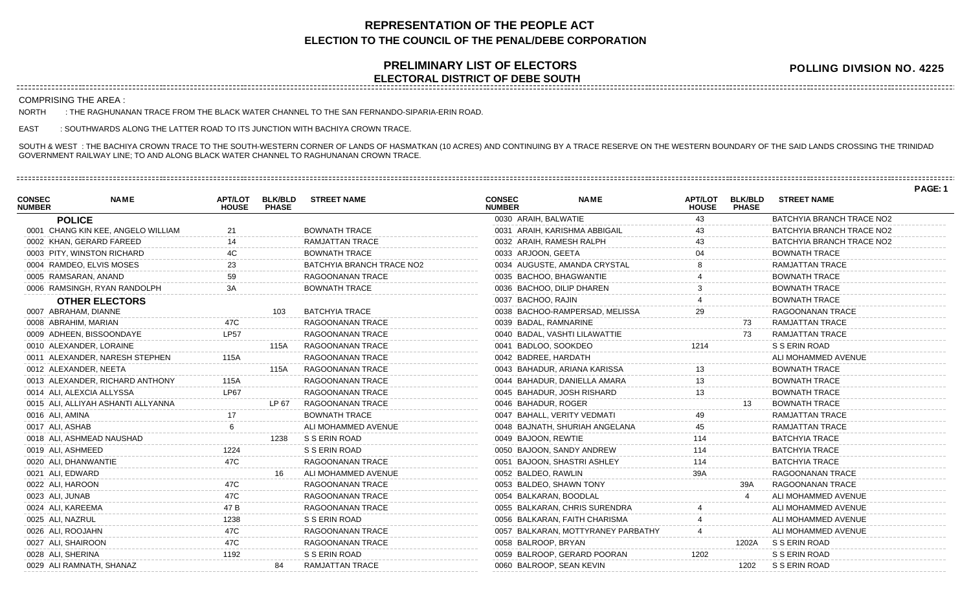## **REPRESENTATION OF THE PEOPLE ACT ELECTION TO THE COUNCIL OF THE PENAL/DEBE CORPORATION**

## **PRELIMINARY LIST OF ELECTORS ELECTORAL DISTRICT OF DEBE SOUTH**

**POLLING DIVISION NO. 4225**

COMPRISING THE AREA :

NORTH : THE RAGHUNANAN TRACE FROM THE BLACK WATER CHANNEL TO THE SAN FERNANDO-SIPARIA-ERIN ROAD.

EAST : SOUTHWARDS ALONG THE LATTER ROAD TO ITS JUNCTION WITH BACHIYA CROWN TRACE.

0029 ALI RAMNATH, SHANAZ 84 RAMJATTAN TRACE

SOUTH & WEST : THE BACHIYA CROWN TRACE TO THE SOUTH-WESTERN CORNER OF LANDS OF HASMATKAN (10 ACRES) AND CONTINUING BY A TRACE RESERVE ON THE WESTERN BOUNDARY OF THE SAID LANDS CROSSING THE TRINIDAD GOVERNMENT RAILWAY LINE; TO AND ALONG BLACK WATER CHANNEL TO RAGHUNANAN CROWN TRACE.

**PAGE: 1 NAME APT/LOT BLK/BLD STREET NAME HOUSE PHASE CONSEC NUMBER POLICE** 0001 CHANG KIN KEE, ANGELO WILLIAM 21 BOWNATH TRACE 0002 KHAN, GERARD FAREED 14 14 RAMJATTAN TRACE 0003 PITY, WINSTON RICHARD 4C BOWNATH TRACE 0004 RAMDEO, ELVIS MOSES 23 BATCHYIA BRANCH TRACE NO2 0005 RAMSARAN, ANAND 59 RAGOONANAN TRACE 0006 RAMSINGH, RYAN RANDOLPH 3A BOWNATH TRACE **OTHER ELECTORS** 0007 ABRAHAM, DIANNE 103 BATCHYIA TRACE 0008 ABRAHIM, MARIAN 47C RAGOONANAN TRACE 0009 ADHEEN, BISSOONDAYE LP57 RAGOONANAN TRACE 0010 ALEXANDER, LORAINE 115A RAGOONANAN TRACE 0011 ALEXANDER, NARESH STEPHEN 115A RAGOONANAN TRACE 0012 ALEXANDER, NEETA 115A RAGOONANAN TRACE 0013 ALEXANDER, RICHARD ANTHONY 115A RAGOONANAN TRACE 0014 ALI, ALEXCIA ALLYSSA LP67 RAGOONANAN TRACE 0015 ALI, ALLIYAH ASHANTI ALLYANNA LEE LEE LATTATUD ATA SAGOONANAN TRACE 0016 ALI, AMINA 17 BOWNATH TRACE 0017 ALI, ASHAB 6 ALI MOHAMMED AVENUE 0018 ALI, ASHMEAD NAUSHAD 1238 S S ERIN ROAD 0019 ALI, ASHMEED 1224 S S ERIN ROAD 0020 ALI, DHANWANTIE 47C RAGOONANAN TRACE 0021 ALI, EDWARD 16 ALI MOHAMMED AVENUE 0022 ALI, HAROON 47C RAGOONANAN TRACE 0023 ALI, JUNAB 47C RAGOONANAN TRACE 0024 ALI, KAREEMA 47 B RAGOONANAN TRACE 0025 ALI, NAZRUL 1238 S S ERIN ROAD 0026 ALI, ROOJAHN 47C RAGOONANAN TRACE 0027 ALI, SHAIROON 47C RAGOONANAN TRACE 0028 ALI, SHERINA 1192 S S ERIN ROAD **NAME APT/LOT BLK/BLD STREET NAME HOUSE CONSEC NUMBER** 0030 ARAIH, BALWATIE 43 BATCHYIA BRANCH TRACE NO2 0031 ARAIH, KARISHMA ABBIGAIL 43 BATCHYIA BRANCH TRACE NO2 0032 ARAIH, RAMESH RALPH 43 BATCHYIA BRANCH TRACE NO2 0033 ARJOON, GEETA 04 BOWNATH TRACE 0034 AUGUSTE, AMANDA CRYSTAL 8 RAMJATTAN TRACE 0035 BACHOO, BHAGWANTIE 4 BOWNATH TRACE 0036 BACHOO, DILIP DHAREN 3 3 BOWNATH TRACE 0037 BACHOO, RAJIN 4 BOWNATH TRACE 0038 BACHOO-RAMPERSAD, MELISSA  $29$  RAGOONANAN TRACE 0039 BADAL, RAMNARINE **1990 120 FM 10039 BADAL, RAMIATTAN TRACE** 0040 BADAL, VASHTI LILAWATTIE **1980 - 1991 - 1992 - 1993 - 1994** RAMJATTAN TRACE 0041 BADLOO, SOOKDEO 1214 S S ERIN ROAD 0042 BADREE, HARDATH ALI MOHAMMED AVENUE 0043 BAHADUR, ARIANA KARISSA 13 13 BOWNATH TRACE 0044 BAHADUR, DANIELLA AMARA 13 80WNATH TRACE 0045 BAHADUR, JOSH RISHARD 13 13 BOWNATH TRACE 0046 BAHADUR, ROGER 13 BOWNATH TRACE 0047 BAHALL, VERITY VEDMATI 49 RAMJATTAN TRACE 0048 BAJNATH, SHURIAH ANGELANA 45 RAMJATTAN TRACE 0049 BAJOON, REWTIE 114 114 BATCHYIA TRACE 0050 BAJOON, SANDY ANDREW 114 114 BATCHYIA TRACE 0051 BAJOON, SHASTRI ASHLEY 114 BATCHYIA TRACE 0052 BALDEO, RAWLIN 39A RAGOONANAN TRACE 0053 BALDEO, SHAWN TONY 39A RAGOONANAN TRACE 0054 BALKARAN, BOODLAL 4 ALI MOHAMMED AVENUE 0055 BALKARAN, CHRIS SURENDRA 4 ALI MOHAMMED AVENUE 0056 BALKARAN, FAITH CHARISMA  $\begin{array}{ccc} 4 & 4 & \text{ALI MOHAMMED AVENUE} \end{array}$ 0057 BALKARAN, MOTTYRANEY PARBATHY 44 ALI MOHAMMED AVENUE 0058 BALROOP, BRYAN 1202A S S ERIN ROAD 0059 BALROOP, GERARD POORAN 1202 S S ERIN ROAD

0060 BALROOP, SEAN KEVIN 1202 S S ERIN ROAD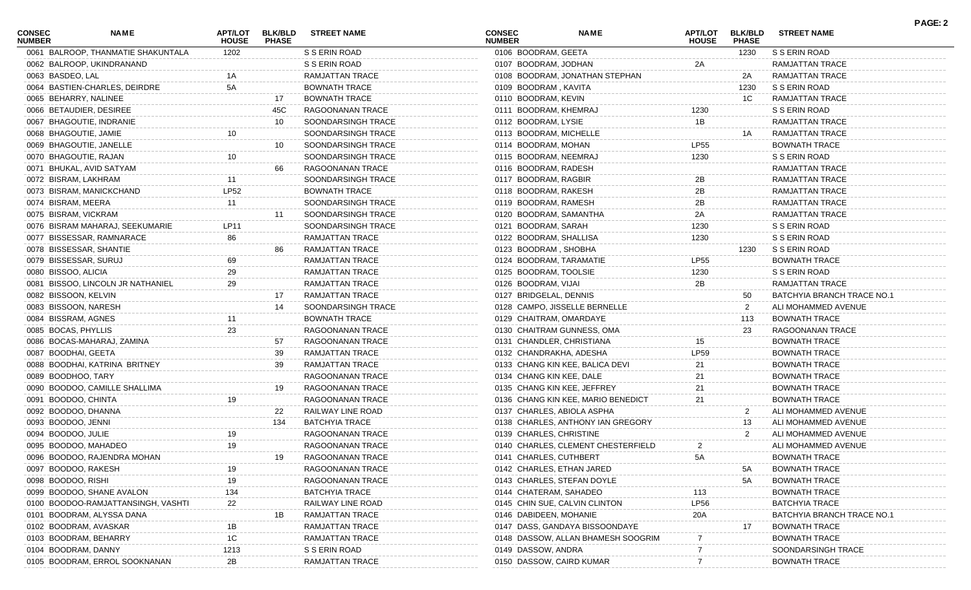| <b>CONSEC</b><br><b>NUMBER</b> | NAME                                               | <b>APT/LOT</b><br><b>HOUSE</b> | <b>BLK/BLD</b><br><b>PHASE</b> | <b>STREET NAME</b>     | <b>CONSEC</b><br><b>NUMBER</b> | <b>NAME</b>                        | APT/LOT<br><b>HOUSE</b> | <b>BLK/BLD</b><br><b>PHASE</b> | <b>STREET NAME</b>                                | <b>PAGE: 2</b> |
|--------------------------------|----------------------------------------------------|--------------------------------|--------------------------------|------------------------|--------------------------------|------------------------------------|-------------------------|--------------------------------|---------------------------------------------------|----------------|
|                                | 0061 BALROOP, THANMATIE SHAKUNTALA                 | 1202                           |                                | S S ERIN ROAD          | 0106 BOODRAM, GEETA            |                                    |                         | 1230                           | S S ERIN ROAD                                     |                |
|                                | 0062 BALROOP, UKINDRANAND                          |                                |                                | S S ERIN ROAD          | 0107 BOODRAM, JODHAN           |                                    | 2A                      |                                | RAMJATTAN TRACE                                   |                |
| 0063 BASDEO, LAL               |                                                    |                                |                                | RAMJATTAN TRACE        |                                | 0108 BOODRAM, JONATHAN STEPHAN     |                         | 2A                             | RAMJATTAN TRACE                                   |                |
|                                | 0064 BASTIEN-CHARLES, DEIRDRE                      | 5A                             |                                | <b>BOWNATH TRACE</b>   | 0109 BOODRAM, KAVITA           |                                    |                         | 1230                           | S S ERIN ROAD                                     |                |
|                                | 0065 BEHARRY, NALINEE                              |                                | 17                             | <b>BOWNATH TRACE</b>   | 0110 BOODRAM, KEVIN            |                                    |                         | 1C                             | RAMJATTAN TRACE                                   |                |
|                                | 0066 BETAUDIER, DESIREE                            |                                | 45C                            | RAGOONANAN TRACE       | 0111 BOODRAM, KHEMRAJ          |                                    | 1230                    |                                | S S ERIN ROAD                                     |                |
|                                | 0067 BHAGOUTIE, INDRANIE                           |                                | 10                             | SOONDARSINGH TRACE     | 0112 BOODRAM, LYSIE            |                                    | 1B                      |                                | RAMJATTAN TRACE                                   |                |
|                                | 0068 BHAGOUTIE, JAMIE                              | 10                             |                                | SOONDARSINGH TRACE     | 0113 BOODRAM, MICHELLE         |                                    |                         | 1A                             | RAMJATTAN TRACE                                   |                |
|                                | 0069 BHAGOUTIE, JANELLE                            |                                | 10                             | SOONDARSINGH TRACE     | 0114 BOODRAM, MOHAN            |                                    | <b>LP55</b>             |                                | <b>BOWNATH TRACE</b>                              |                |
|                                | 0070 BHAGOUTIE, RAJAN                              | 10                             |                                | SOONDARSINGH TRACE     | 0115 BOODRAM, NEEMRAJ          |                                    | 1230                    |                                | S S ERIN ROAD                                     |                |
|                                | 0071 BHUKAL, AVID SATYAM                           |                                | 66                             | RAGOONANAN TRACE       | 0116 BOODRAM, RADESH           |                                    |                         |                                | RAMJATTAN TRACE                                   |                |
|                                | 0072 BISRAM, LAKHRAM                               |                                |                                | SOONDARSINGH TRACE     | 0117 BOODRAM, RAGBIR           |                                    | 2B                      |                                | RAMJATTAN TRACE                                   |                |
|                                | 0073 BISRAM, MANICKCHAND                           | LP52                           |                                | <b>BOWNATH TRACE</b>   | 0118 BOODRAM, RAKESH           |                                    | 2B                      |                                | RAMJATTAN TRACE                                   |                |
| 0074 BISRAM, MEERA             |                                                    | 11                             |                                | SOONDARSINGH TRACE     | 0119 BOODRAM, RAMESH           |                                    | 2B                      |                                | RAMJATTAN TRACE                                   |                |
| 0075 BISRAM, VICKRAM           |                                                    |                                | 11                             | SOONDARSINGH TRACE     | 0120 BOODRAM, SAMANTHA         |                                    | 2A                      |                                | RAMJATTAN TRACE                                   |                |
|                                | 0076 BISRAM MAHARAJ, SEEKUMARIE                    | LP11                           |                                | SOONDARSINGH TRACE     | 0121 BOODRAM, SARAH            |                                    | 1230                    |                                | S S ERIN ROAD                                     |                |
|                                | 0077 BISSESSAR, RAMNARACE                          | 86                             |                                | <b>RAMJATTAN TRACE</b> | 0122 BOODRAM, SHALLISA         |                                    | 1230                    |                                | S S ERIN ROAD                                     |                |
|                                | 0078 BISSESSAR, SHANTIE                            |                                | 86                             | RAMJATTAN TRACE        | 0123 BOODRAM, SHOBHA           |                                    |                         | 1230                           | S S ERIN ROAD                                     |                |
|                                | 0079 BISSESSAR, SURUJ                              | 69                             |                                | RAMJATTAN TRACE        | 0124 BOODRAM, TARAMATIE        |                                    | <b>LP55</b>             |                                | <b>BOWNATH TRACE</b>                              |                |
| 0080 BISSOO, ALICIA            |                                                    | 29                             |                                | RAMJATTAN TRACE        | 0125 BOODRAM, TOOLSIE          |                                    | 1230                    |                                | S S ERIN ROAD                                     |                |
|                                | 0081 BISSOO, LINCOLN JR NATHANIEL                  | 29                             |                                | RAMJATTAN TRACE        | 0126 BOODRAM, VIJAI            |                                    | 2B                      |                                | RAMJATTAN TRACE                                   |                |
| 0082 BISSOON, KELVIN           |                                                    |                                | 17                             | RAMJATTAN TRACE        | 0127 BRIDGELAL, DENNIS         |                                    |                         | 50                             | BATCHYIA BRANCH TRACE NO.1                        |                |
|                                | 0083 BISSOON, NARESH                               |                                | 14                             | SOONDARSINGH TRACE     |                                | 0128 CAMPO, JISSELLE BERNELLE      |                         | 2                              | ALI MOHAMMED AVENUE                               |                |
| 0084 BISSRAM, AGNES            |                                                    |                                |                                | <b>BOWNATH TRACE</b>   | 0129 CHAITRAM, OMARDAYE        |                                    |                         | 113                            | <b>BOWNATH TRACE</b>                              |                |
| 0085 BOCAS, PHYLLIS            |                                                    | 23                             |                                | RAGOONANAN TRACE       | 0130 CHAITRAM GUNNESS, OMA     |                                    |                         | 23                             | RAGOONANAN TRACE                                  |                |
|                                | 0086 BOCAS-MAHARAJ, ZAMINA                         |                                | 57                             | RAGOONANAN TRACE       | 0131 CHANDLER, CHRISTIANA      |                                    | 15                      |                                | <b>BOWNATH TRACE</b>                              |                |
| 0087 BOODHAI, GEETA            |                                                    |                                | 39                             | RAMJATTAN TRACE        | 0132 CHANDRAKHA, ADESHA        |                                    | LP59                    |                                | <b>BOWNATH TRACE</b>                              |                |
|                                | 0088 BOODHAI, KATRINA BRITNEY                      |                                | 39                             | RAMJATTAN TRACE        |                                | 0133 CHANG KIN KEE, BALICA DEVI    | 21                      |                                | <b>BOWNATH TRACE</b>                              |                |
| 0089 BOODHOO, TARY             |                                                    |                                |                                | RAGOONANAN TRACE       | 0134 CHANG KIN KEE, DALE       |                                    | 21                      |                                | <b>BOWNATH TRACE</b>                              |                |
|                                | 0090 BOODOO, CAMILLE SHALLIMA                      |                                | 19                             | RAGOONANAN TRACE       | 0135 CHANG KIN KEE, JEFFREY    |                                    | 21                      |                                | <b>BOWNATH TRACE</b>                              |                |
| 0091 BOODOO, CHINTA            |                                                    | 19                             |                                | RAGOONANAN TRACE       |                                | 0136 CHANG KIN KEE, MARIO BENEDICT | 21                      |                                | <b>BOWNATH TRACE</b>                              |                |
|                                | 0092 BOODOO, DHANNA                                |                                | 22                             | RAILWAY LINE ROAD      | 0137 CHARLES, ABIOLA ASPHA     |                                    |                         | 2                              | ALI MOHAMMED AVENUE                               |                |
| 0093 BOODOO, JENNI             |                                                    |                                | 134                            | <b>BATCHYIA TRACE</b>  |                                | 0138 CHARLES, ANTHONY IAN GREGORY  |                         | 13                             | ALI MOHAMMED AVENUE                               |                |
| 0094 BOODOO, JULIE             |                                                    | 19                             |                                | RAGOONANAN TRACE       | 0139 CHARLES, CHRISTINE        |                                    |                         | $\mathbf{2}$                   | ALI MOHAMMED AVENUE                               |                |
|                                | 0095 BOODOO, MAHADEO                               | 19                             |                                | RAGOONANAN TRACE       |                                | 0140 CHARLES, CLEMENT CHESTERFIELD | 2                       |                                | ALI MOHAMMED AVENUE                               |                |
|                                | 0096 BOODOO, RAJENDRA MOHAN                        |                                | 19                             | RAGOONANAN TRACE       | 0141 CHARLES, CUTHBERT         |                                    | 5A                      |                                | <b>BOWNATH TRACE</b>                              |                |
|                                | 0097 BOODOO, RAKESH                                | 19                             |                                | RAGOONANAN TRACE       | 0142 CHARLES, ETHAN JARED      |                                    |                         | 5A                             | <b>BOWNATH TRACE</b>                              |                |
| 0098 BOODOO, RISHI             |                                                    | 19                             |                                | RAGOONANAN TRACE       | 0143 CHARLES, STEFAN DOYLE     |                                    |                         | 5A                             | <b>BOWNATH TRACE</b>                              |                |
|                                | 0099 BOODOO, SHANE AVALON                          | 134                            |                                | <b>BATCHYIA TRACE</b>  | 0144 CHATERAM, SAHADEO         |                                    | 113                     |                                | <b>BOWNATH TRACE</b>                              |                |
|                                | 0100 BOODOO-RAMJATTANSINGH, VASHTI                 | 22                             |                                | RAILWAY LINE ROAD      | 0145 CHIN SUE, CALVIN CLINTON  |                                    | <b>LP56</b>             |                                | <b>BATCHYIA TRACE</b>                             |                |
|                                |                                                    |                                | 1Β                             | RAMJATTAN TRACE        |                                |                                    |                         |                                |                                                   |                |
|                                | 0101 BOODRAM, ALYSSA DANA<br>0102 BOODRAM, AVASKAR |                                |                                | <b>RAMJATTAN TRACE</b> | 0146 DABIDEEN, MOHANIE         | 0147 DASS, GANDAYA BISSOONDAYE     | 20A                     | 17                             | BATCHYIA BRANCH TRACE NO.<br><b>BOWNATH TRACE</b> |                |
|                                |                                                    | 1В                             |                                | <b>RAMJATTAN TRACE</b> |                                |                                    |                         |                                |                                                   |                |
|                                | 0103 BOODRAM, BEHARRY                              | 1C                             |                                |                        |                                | 0148 DASSOW, ALLAN BHAMESH SOOGRIM |                         |                                | <b>BOWNATH TRACE</b>                              |                |
|                                | 0104 BOODRAM, DANNY                                | 1213                           |                                | S S ERIN ROAD          | 0149 DASSOW, ANDRA             |                                    |                         |                                | SOONDARSINGH TRACE                                |                |
|                                | 0105 BOODRAM, ERROL SOOKNANAN                      | 2B                             |                                | RAMJATTAN TRACE        | 0150 DASSOW, CAIRD KUMAR       |                                    |                         |                                | <b>BOWNATH TRACE</b>                              |                |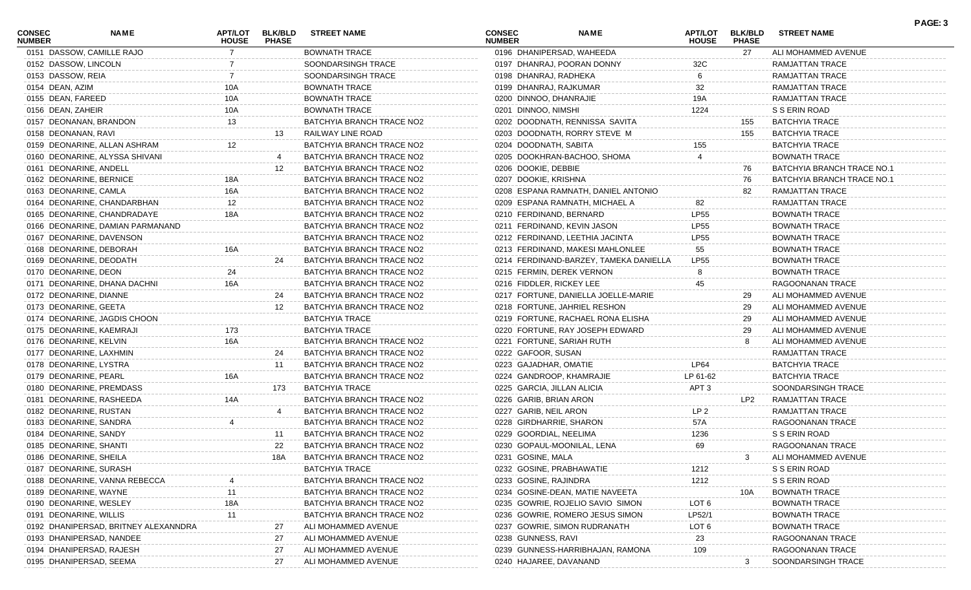| <b>CONSEC</b><br><b>NUMBER</b> | NAME                                 | APT/LOT<br><b>HOUSE</b> | <b>BLK/BLD</b><br><b>PHASE</b> | <b>STREET NAME</b>        | <b>CONSEC</b><br><b>NUMBER</b> | NAME                                   | <b>APT/LOT</b><br><b>HOUSE</b> | <b>BLK/BLD</b><br><b>PHASE</b> | <b>STREET NAME</b>         | PAGE: 3 |
|--------------------------------|--------------------------------------|-------------------------|--------------------------------|---------------------------|--------------------------------|----------------------------------------|--------------------------------|--------------------------------|----------------------------|---------|
|                                | 0151 DASSOW, CAMILLE RAJO            |                         |                                | <b>BOWNATH TRACE</b>      |                                | 0196 DHANIPERSAD, WAHEEDA              |                                | 27                             | ALI MOHAMMED AVENUE        |         |
| 0152 DASSOW, LINCOLN           |                                      |                         |                                | SOONDARSINGH TRACE        |                                | 0197 DHANRAJ, POORAN DONNY             | 32C                            |                                | RAMJATTAN TRACE            |         |
| 0153 DASSOW, REIA              |                                      |                         |                                | SOONDARSINGH TRACE        |                                | 0198 DHANRAJ, RADHEKA                  | 6                              |                                | <b>RAMJATTAN TRACE</b>     |         |
| 0154 DEAN, AZIM                |                                      | 10A                     |                                | <b>BOWNATH TRACE</b>      |                                | 0199 DHANRAJ, RAJKUMAR                 | 32                             |                                | RAMJATTAN TRACE            |         |
| 0155 DEAN, FAREED              |                                      | 10A                     |                                | <b>BOWNATH TRACE</b>      |                                | 0200 DINNOO, DHANRAJIE                 | 19A                            |                                | RAMJATTAN TRACE            |         |
| 0156 DEAN, ZAHEIR              |                                      | 10A                     |                                | <b>BOWNATH TRACE</b>      |                                | 0201 DINNOO, NIMSHI                    | 1224                           |                                | S S ERIN ROAD              |         |
|                                | 0157 DEONANAN, BRANDON               | 13                      |                                | BATCHYIA BRANCH TRACE NO2 |                                | 0202 DOODNATH, RENNISSA SAVITA         |                                | 155                            | <b>BATCHYIA TRACE</b>      |         |
| 0158 DEONANAN, RAVI            |                                      |                         | 13                             | RAILWAY LINE ROAD         |                                | 0203 DOODNATH, RORRY STEVE M           |                                | 155                            | BATCHYIA TRACE             |         |
|                                | 0159 DEONARINE, ALLAN ASHRAM         | 12.                     |                                | BATCHYIA BRANCH TRACE NO2 |                                | 0204 DOODNATH, SABITA                  | 155                            |                                | <b>BATCHYIA TRACE</b>      |         |
|                                | 0160 DEONARINE, ALYSSA SHIVANI       |                         |                                | BATCHYIA BRANCH TRACE NO2 |                                | 0205 DOOKHRAN-BACHOO, SHOMA            |                                |                                | <b>BOWNATH TRACE</b>       |         |
| 0161 DEONARINE, ANDELL         |                                      |                         | 12                             | BATCHYIA BRANCH TRACE NO2 |                                | 0206 DOOKIE, DEBBIE                    |                                | 76                             | BATCHYIA BRANCH TRACE NO.1 |         |
|                                | 0162 DEONARINE, BERNICE              | 18A                     |                                | BATCHYIA BRANCH TRACE NO2 |                                | 0207 DOOKIE, KRISHNA                   |                                | 76                             | BATCHYIA BRANCH TRACE NO.1 |         |
| 0163 DEONARINE, CAMLA          |                                      | 16A                     |                                | BATCHYIA BRANCH TRACE NO2 |                                | 0208 ESPANA RAMNATH, DANIEL ANTONIO    |                                | 82                             | <b>RAMJATTAN TRACE</b>     |         |
|                                | 0164 DEONARINE, CHANDARBHAN          | 12                      |                                | BATCHYIA BRANCH TRACE NO2 |                                | 0209 ESPANA RAMNATH, MICHAEL A         | 82                             |                                | RAMJATTAN TRACE            |         |
|                                | 0165 DEONARINE, CHANDRADAYE          | 18A                     |                                | BATCHYIA BRANCH TRACE NO2 |                                | 0210 FERDINAND, BERNARD                | <b>LP55</b>                    |                                | <b>BOWNATH TRACE</b>       |         |
|                                | 0166 DEONARINE, DAMIAN PARMANAND     |                         |                                | BATCHYIA BRANCH TRACE NO2 |                                | 0211 FERDINAND, KEVIN JASON            | <b>LP55</b>                    |                                | <b>BOWNATH TRACE</b>       |         |
|                                | 0167 DEONARINE, DAVENSON             |                         |                                | BATCHYIA BRANCH TRACE NO2 |                                | 0212 FERDINAND, LEETHIA JACINTA        | <b>LP55</b>                    |                                | <b>BOWNATH TRACE</b>       |         |
|                                | 0168 DEONARINE, DEBORAH              | 16A                     |                                | BATCHYIA BRANCH TRACE NO2 |                                | 0213 FERDINAND, MAKESI MAHLONLEE       | 55                             |                                | <b>BOWNATH TRACE</b>       |         |
|                                | 0169 DEONARINE, DEODATH              |                         | 24                             | BATCHYIA BRANCH TRACE NO2 |                                | 0214 FERDINAND-BARZEY, TAMEKA DANIELLA | <b>LP55</b>                    |                                | <b>BOWNATH TRACE</b>       |         |
| 0170 DEONARINE, DEON           |                                      | 24                      |                                | BATCHYIA BRANCH TRACE NO2 |                                | 0215 FERMIN, DEREK VERNON              |                                |                                | <b>BOWNATH TRACE</b>       |         |
|                                | 0171 DEONARINE, DHANA DACHNI         | 16A                     |                                | BATCHYIA BRANCH TRACE NO2 |                                | 0216 FIDDLER, RICKEY LEE               | 45                             |                                | RAGOONANAN TRACE           |         |
| 0172 DEONARINE, DIANNE         |                                      |                         | 24                             | BATCHYIA BRANCH TRACE NO2 |                                | 0217 FORTUNE, DANIELLA JOELLE-MARIE    |                                | 29                             | ALI MOHAMMED AVENUE        |         |
| 0173 DEONARINE, GEETA          |                                      |                         | 12                             | BATCHYIA BRANCH TRACE NO2 |                                | 0218 FORTUNE, JAHRIEL RESHON           |                                | 29                             | ALI MOHAMMED AVENUE        |         |
|                                | 0174 DEONARINE, JAGDIS CHOON         |                         |                                | <b>BATCHYIA TRACE</b>     |                                | 0219 FORTUNE, RACHAEL RONA ELISHA      |                                | 29                             | ALI MOHAMMED AVENUE        |         |
|                                | 0175 DEONARINE, KAEMRAJI             | 173                     |                                | <b>BATCHYIA TRACE</b>     |                                | 0220 FORTUNE, RAY JOSEPH EDWARD        |                                | 29                             | ALI MOHAMMED AVENUE        |         |
| 0176 DEONARINE, KELVIN         |                                      | 16A                     |                                | BATCHYIA BRANCH TRACE NO2 |                                | 0221 FORTUNE, SARIAH RUTH              |                                | 8                              | ALI MOHAMMED AVENUE        |         |
|                                | 0177 DEONARINE, LAXHMIN              |                         | 24                             | BATCHYIA BRANCH TRACE NO2 |                                | 0222 GAFOOR, SUSAN                     |                                |                                | <b>RAMJATTAN TRACE</b>     |         |
|                                | 0178 DEONARINE, LYSTRA               |                         | 11                             | BATCHYIA BRANCH TRACE NO2 |                                | 0223 GAJADHAR, OMATIE                  | <b>LP64</b>                    |                                | <b>BATCHYIA TRACE</b>      |         |
| 0179 DEONARINE, PEARL          |                                      | 16A                     |                                | BATCHYIA BRANCH TRACE NO2 |                                | 0224 GANDROOP, KHAMRAJIE               | LP 61-62                       |                                | <b>BATCHYIA TRACE</b>      |         |
|                                | 0180 DEONARINE, PREMDASS             |                         | 173                            | <b>BATCHYIA TRACE</b>     |                                | 0225 GARCIA, JILLAN ALICIA             | APT <sub>3</sub>               |                                | SOONDARSINGH TRACE         |         |
|                                | 0181 DEONARINE, RASHEEDA             | 14A                     |                                | BATCHYIA BRANCH TRACE NO2 |                                | 0226 GARIB, BRIAN ARON                 |                                | LP2                            | <b>RAMJATTAN TRACE</b>     |         |
|                                | 0182 DEONARINE, RUSTAN               |                         |                                | BATCHYIA BRANCH TRACE NO2 |                                | 0227 GARIB, NEIL ARON                  | LP <sub>2</sub>                |                                | RAMJATTAN TRACE            |         |
|                                | 0183 DEONARINE, SANDRA               |                         |                                | BATCHYIA BRANCH TRACE NO2 |                                | 0228 GIRDHARRIE, SHARON                | 57A                            |                                | RAGOONANAN TRACE           |         |
| 0184 DEONARINE, SANDY          |                                      |                         | 11                             | BATCHYIA BRANCH TRACE NO2 |                                | 0229 GOORDIAL, NEELIMA                 | 1236                           |                                | S S ERIN ROAD              |         |
| 0185 DEONARINE, SHANTI         |                                      |                         | 22                             | BATCHYIA BRANCH TRACE NO2 |                                | 0230 GOPAUL-MOONILAL, LENA             | 69                             |                                | RAGOONANAN TRACE           |         |
| 0186 DEONARINE, SHEILA         |                                      |                         | 18A                            | BATCHYIA BRANCH TRACE NO2 |                                | 0231 GOSINE, MALA                      |                                | 3                              | ALI MOHAMMED AVENUE        |         |
|                                | 0187 DEONARINE, SURASH               |                         |                                | <b>BATCHYIA TRACE</b>     |                                | 0232 GOSINE, PRABHAWATIE               | 1212                           |                                | S S ERIN ROAD              |         |
|                                | 0188 DEONARINE, VANNA REBECCA        |                         |                                | BATCHYIA BRANCH TRACE NO2 |                                | 0233 GOSINE, RAJINDRA                  | 1212                           |                                | S S ERIN ROAD              |         |
| 0189 DEONARINE, WAYNE          |                                      |                         |                                | BATCHYIA BRANCH TRACE NO2 |                                | 0234 GOSINE-DEAN, MATIE NAVEETA        |                                | 10A                            | <b>BOWNATH TRACE</b>       |         |
|                                | 0190 DEONARINE, WESLEY               | 18A                     |                                | BATCHYIA BRANCH TRACE NO2 |                                | 0235 GOWRIE, ROJELIO SAVIO SIMON       | LOT <sub>6</sub>               |                                | <b>BOWNATH TRACE</b>       |         |
| 0191 DEONARINE, WILLIS         |                                      | 11                      |                                | BATCHYIA BRANCH TRACE NO2 |                                | 0236 GOWRIE, ROMERO JESUS SIMON        | LP52/1                         |                                | <b>BOWNATH TRACE</b>       |         |
|                                | 0192 DHANIPERSAD, BRITNEY ALEXANNDRA |                         | 27                             | ALI MOHAMMED AVENUE       |                                | 0237 GOWRIE, SIMON RUDRANATH           | LOT <sub>6</sub>               |                                | <b>BOWNATH TRACE</b>       |         |
|                                | 0193 DHANIPERSAD, NANDEE             |                         | 27                             | ALI MOHAMMED AVENUE       |                                | 0238 GUNNESS, RAVI                     | 23                             |                                | RAGOONANAN TRACE           |         |
|                                | 0194 DHANIPERSAD, RAJESH             |                         | 27                             | ALI MOHAMMED AVENUE       |                                | 0239 GUNNESS-HARRIBHAJAN, RAMONA       | 109                            |                                | RAGOONANAN TRACE           |         |
|                                | 0195 DHANIPERSAD, SEEMA              |                         | 27                             | ALI MOHAMMED AVENUE       |                                | 0240 HAJAREE, DAVANAND                 |                                | 3                              | SOONDARSINGH TRACE         |         |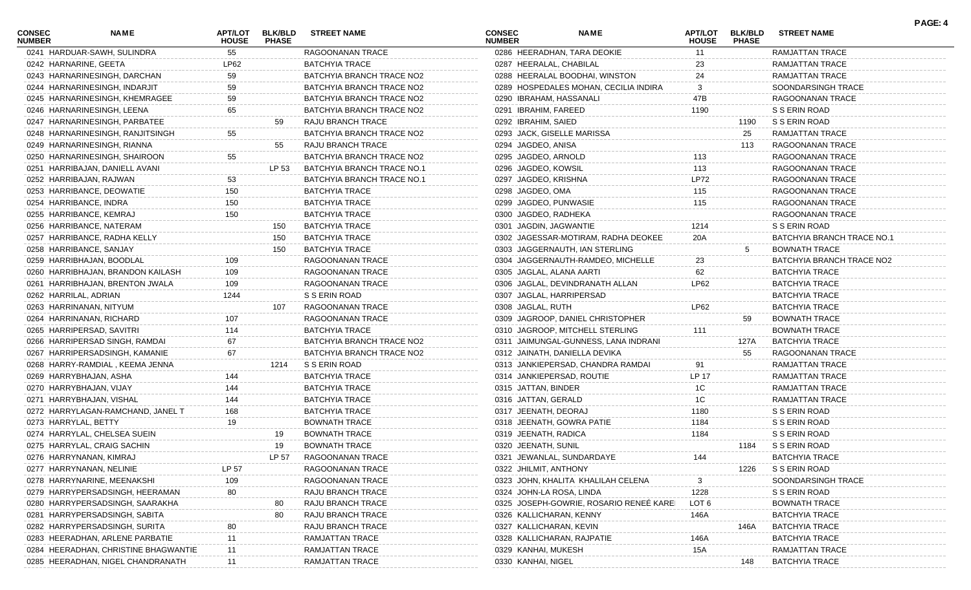| <b>CONSEC</b><br><b>NUMBER</b> | <b>NAME</b>                          | <b>HOUSE</b> | APT/LOT BLK/BLD<br><b>PHASE</b> | <b>STREET NAME</b>         | <b>CONSEC</b><br><b>NUMBER</b> | <b>NAME</b>                             | <b>HOUSE</b> | <b>PHASE</b> | APT/LOT BLK/BLD STREET NAME |
|--------------------------------|--------------------------------------|--------------|---------------------------------|----------------------------|--------------------------------|-----------------------------------------|--------------|--------------|-----------------------------|
|                                | 0241 HARDUAR-SAWH, SULINDRA          | 55           |                                 | RAGOONANAN TRACE           |                                | 0286 HEERADHAN, TARA DEOKIE             | 11           |              | RAMJATTAN TRACE             |
|                                | 0242 HARNARINE, GEETA                | LP62         |                                 | <b>BATCHYIA TRACE</b>      |                                | 0287 HEERALAL, CHABILAL                 | 23           |              | RAMJATTAN TRACE             |
|                                | 0243 HARNARINESINGH, DARCHAN         | 59           |                                 | BATCHYIA BRANCH TRACE NO2  |                                | 0288 HEERALAL BOODHAI, WINSTON          | 24           |              | RAMJATTAN TRACE             |
|                                | 0244 HARNARINESINGH, INDARJIT        | 59           |                                 | BATCHYIA BRANCH TRACE NO2  |                                | 0289 HOSPEDALES MOHAN, CECILIA INDIRA   | 3            |              | SOONDARSINGH TRACE          |
|                                | 0245 HARNARINESINGH, KHEMRAGEE       | 59           |                                 | BATCHYIA BRANCH TRACE NO2  |                                | 0290 IBRAHAM, HASSANALI                 | 47B          |              | RAGOONANAN TRACE            |
|                                | 0246 HARNARINESINGH, LEENA           | 65           |                                 | BATCHYIA BRANCH TRACE NO2  |                                | 0291 IBRAHIM, FAREED                    | 1190         |              | S S ERIN ROAD               |
|                                | 0247 HARNARINESINGH, PARBATEE        |              | 59                              | RAJU BRANCH TRACE          |                                | 0292 IBRAHIM, SAIED                     |              | 1190         | S S ERIN ROAD               |
|                                | 0248 HARNARINESINGH, RANJITSINGH     | 55           |                                 | BATCHYIA BRANCH TRACE NO2  |                                | 0293 JACK, GISELLE MARISSA              |              | 25           | RAMJATTAN TRACE             |
|                                | 0249 HARNARINESINGH, RIANNA          |              | 55                              | RAJU BRANCH TRACE          |                                | 0294 JAGDEO, ANISA                      |              | 113          | RAGOONANAN TRACE            |
|                                | 0250 HARNARINESINGH, SHAIROON        | 55           |                                 | BATCHYIA BRANCH TRACE NO2  |                                | 0295 JAGDEO, ARNOLD                     | 113          |              | RAGOONANAN TRACE            |
|                                | 0251 HARRIBAJAN, DANIELL AVANI       |              | LP 53                           | BATCHYIA BRANCH TRACE NO.1 |                                | 0296 JAGDEO, KOWSIL                     | 113          |              | RAGOONANAN TRACE            |
|                                | 0252 HARRIBAJAN, RAJWAN              | 53           |                                 | BATCHYIA BRANCH TRACE NO.1 |                                | 0297 JAGDEO, KRISHNA                    | <b>LP72</b>  |              | RAGOONANAN TRACE            |
|                                | 0253 HARRIBANCE, DEOWATIE            | 150          |                                 | <b>BATCHYIA TRACE</b>      |                                | 0298 JAGDEO, OMA                        | 115          |              | RAGOONANAN TRACE            |
|                                | 0254 HARRIBANCE, INDRA               | 150          |                                 | <b>BATCHYIA TRACE</b>      |                                | 0299 JAGDEO, PUNWASIE                   | 115          |              | RAGOONANAN TRACE            |
|                                | 0255 HARRIBANCE, KEMRAJ              | 150          |                                 | <b>BATCHYIA TRACE</b>      |                                | 0300 JAGDEO, RADHEKA                    |              |              | RAGOONANAN TRACE            |
|                                | 0256 HARRIBANCE, NATERAM             |              | 150                             | <b>BATCHYIA TRACE</b>      |                                | 0301 JAGDIN, JAGWANTIE                  | 1214         |              | S S ERIN ROAD               |
|                                | 0257 HARRIBANCE, RADHA KELLY         |              | 150                             | <b>BATCHYIA TRACE</b>      |                                | 0302 JAGESSAR-MOTIRAM, RADHA DEOKEE     | 20A          |              | BATCHYIA BRANCH TRACE NO.1  |
|                                | 0258 HARRIBANCE, SANJAY              |              | 150                             | <b>BATCHYIA TRACE</b>      |                                | 0303 JAGGERNAUTH, IAN STERLING          |              | 5            | <b>BOWNATH TRACE</b>        |
|                                | 0259 HARRIBHAJAN, BOODLAL            | 109          |                                 | RAGOONANAN TRACE           |                                | 0304 JAGGERNAUTH-RAMDEO, MICHELLE       | 23           |              | BATCHYIA BRANCH TRACE NO2   |
|                                | 0260 HARRIBHAJAN, BRANDON KAILASH    | 109          |                                 | RAGOONANAN TRACE           |                                | 0305 JAGLAL, ALANA AARTI                | 62           |              | <b>BATCHYIA TRACE</b>       |
|                                | 0261 HARRIBHAJAN, BRENTON JWALA      | 109          |                                 | RAGOONANAN TRACE           |                                | 0306 JAGLAL, DEVINDRANATH ALLAN         | <b>LP62</b>  |              | <b>BATCHYIA TRACE</b>       |
|                                | 0262 HARRILAL, ADRIAN                | 1244         |                                 | S S ERIN ROAD              |                                | 0307 JAGLAL, HARRIPERSAD                |              |              | <b>BATCHYIA TRACE</b>       |
|                                | 0263 HARRINANAN, NITYUM              |              | 107                             | RAGOONANAN TRACE           |                                | 0308 JAGLAL, RUTH                       | LP62         |              | <b>BATCHYIA TRACE</b>       |
|                                | 0264 HARRINANAN, RICHARD             | 107          |                                 | RAGOONANAN TRACE           |                                | 0309 JAGROOP, DANIEL CHRISTOPHER        |              | 59           | <b>BOWNATH TRACE</b>        |
|                                | 0265 HARRIPERSAD, SAVITRI            | 114          |                                 | <b>BATCHYIA TRACE</b>      |                                | 0310 JAGROOP, MITCHELL STERLING         | 111          |              | <b>BOWNATH TRACE</b>        |
|                                | 0266 HARRIPERSAD SINGH, RAMDAI       | 67           |                                 | BATCHYIA BRANCH TRACE NO2  |                                | 0311 JAIMUNGAL-GUNNESS, LANA INDRANI    |              | 127A         | <b>BATCHYIA TRACE</b>       |
|                                | 0267 HARRIPERSADSINGH, KAMANIE       |              |                                 | BATCHYIA BRANCH TRACE NO2  |                                | 0312 JAINATH, DANIELLA DEVIKA           |              | 55           | RAGOONANAN TRACE            |
|                                | 0268 HARRY-RAMDIAL, KEEMA JENNA      |              | 1214                            | S S ERIN ROAD              |                                | 0313 JANKIEPERSAD, CHANDRA RAMDAI       | 91           |              | RAMJATTAN TRACE             |
|                                | 0269 HARRYBHAJAN, ASHA               | 144          |                                 | <b>BATCHYIA TRACE</b>      |                                | 0314 JANKIEPERSAD, ROUTIE               | LP 17        |              | RAMJATTAN TRACE             |
|                                | 0270 HARRYBHAJAN, VIJAY              | 144          |                                 | <b>BATCHYIA TRACE</b>      |                                | 0315 JATTAN, BINDER                     | 1C           |              | RAMJATTAN TRACE             |
|                                | 0271 HARRYBHAJAN, VISHAL             | 144          |                                 | <b>BATCHYIA TRACE</b>      |                                | 0316 JATTAN, GERALD                     | 1C           |              | RAMJATTAN TRACE             |
|                                | 0272 HARRYLAGAN-RAMCHAND, JANEL T    | 168          |                                 | <b>BATCHYIA TRACE</b>      |                                | 0317 JEENATH, DEORAJ                    | 1180         |              | S S ERIN ROAD               |
|                                | 0273 HARRYLAL, BETTY                 | 19           |                                 | <b>BOWNATH TRACE</b>       |                                | 0318 JEENATH, GOWRA PATIE               | 1184         |              | S S ERIN ROAD               |
|                                | 0274 HARRYLAL, CHELSEA SUEIN         |              | 19                              | <b>BOWNATH TRACE</b>       |                                | 0319 JEENATH, RADICA                    | 1184         |              | S S ERIN ROAD               |
|                                | 0275 HARRYLAL, CRAIG SACHIN          |              | 19                              | <b>BOWNATH TRACE</b>       |                                | 0320 JEENATH, SUNIL                     |              | 1184         | S S ERIN ROAD               |
|                                | 0276 HARRYNANAN, KIMRAJ              |              |                                 | LP 57 RAGOONANAN TRACE     |                                | 0321 JEWANLAL, SUNDARDAYE               |              |              | BATCHYIA TRACE              |
|                                | 0277 HARRYNANAN, NELINIE             | LP 57        |                                 | RAGOONANAN TRACE           |                                | 0322 JHILMIT, ANTHONY                   |              | 1226         | S S ERIN ROAD               |
|                                | 0278 HARRYNARINE, MEENAKSHI          | 109          |                                 | RAGOONANAN TRACE           |                                | 0323 JOHN, KHALITA KHALILAH CELENA      |              |              | SOONDARSINGH TRACE          |
|                                | 0279 HARRYPERSADSINGH, HEERAMAN      | 80           |                                 | RAJU BRANCH TRACE          |                                | 0324 JOHN-LA ROSA, LINDA                | 1228         |              | S S ERIN ROAD               |
|                                | 0280 HARRYPERSADSINGH, SAARAKHA      |              | 80                              | <b>RAJU BRANCH TRACE</b>   |                                | 0325 JOSEPH-GOWRIE, ROSARIO RENEE KAREI | LOT 6        |              | <b>BOWNATH TRACE</b>        |
|                                | 0281 HARRYPERSADSINGH, SABITA        |              | 80                              | RAJU BRANCH TRACE          |                                | 0326 KALLICHARAN, KENNY                 | 146A         |              | <b>BATCHYIA TRACE</b>       |
|                                | 0282 HARRYPERSADSINGH, SURITA        |              |                                 | <b>RAJU BRANCH TRACE</b>   |                                | 0327 KALLICHARAN, KEVIN                 |              | 146A         | <b>BATCHYIA TRACE</b>       |
|                                | 0283 HEERADHAN, ARLENE PARBATIE      |              |                                 | RAMJATTAN TRACE            |                                | 0328 KALLICHARAN, RAJPATIE              | 146A         |              | <b>BATCHYIA TRACE</b>       |
|                                | 0284 HEERADHAN, CHRISTINE BHAGWANTIE |              |                                 | RAMJATTAN TRACE            |                                | 0329 KANHAI, MUKESH                     | 15A          |              | RAMJATTAN TRACE             |
|                                | 0285 HEERADHAN, NIGEL CHANDRANATH    |              |                                 | RAMJATTAN TRACE            |                                | 0330 KANHAI, NIGEL                      |              | 148          | <b>BATCHYIA TRACE</b>       |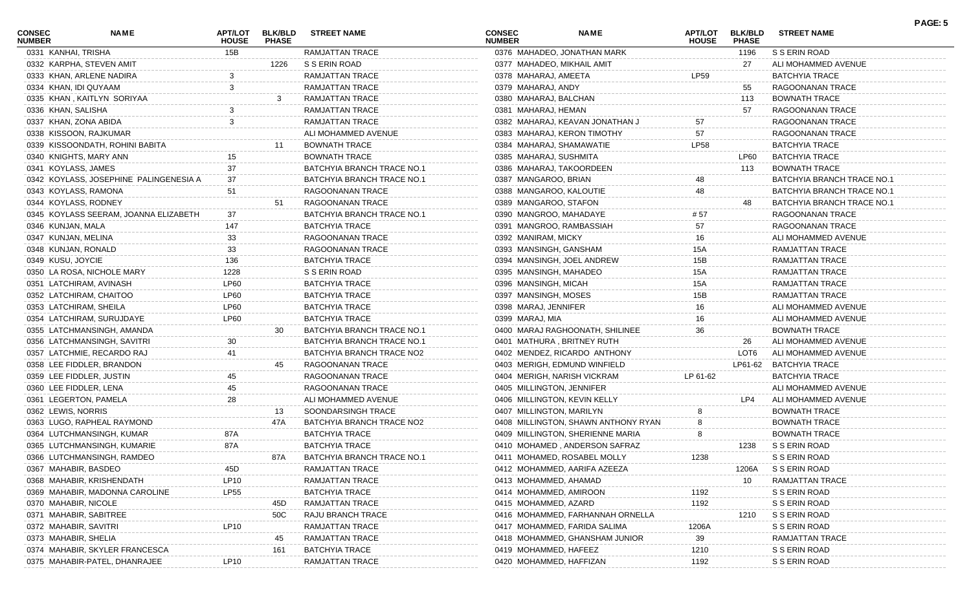| <b>CONSEC</b><br><b>NUMBER</b> | <b>NAME</b>                            | <b>HOUSE</b> | <b>PHASE</b> | APT/LOT BLK/BLD STREET NAME | <b>CONSEC</b><br><b>NUMBER</b> |                          | <b>NAME</b>                         | <b>HOUSE</b> | APT/LOT BLK/BLD<br><b>PHASE</b> | <b>STREET NAME</b>         |  |
|--------------------------------|----------------------------------------|--------------|--------------|-----------------------------|--------------------------------|--------------------------|-------------------------------------|--------------|---------------------------------|----------------------------|--|
|                                | 0331 KANHAI, TRISHA                    | 15B          |              | RAMJATTAN TRACE             |                                |                          | 0376 MAHADEO, JONATHAN MARK         |              | 1196                            | S S ERIN ROAD              |  |
|                                | 0332 KARPHA, STEVEN AMIT               |              | 1226         | S S ERIN ROAD               |                                |                          | 0377 MAHADEO, MIKHAIL AMIT          |              | 27                              | ALI MOHAMMED AVENUE        |  |
|                                | 0333 KHAN, ARLENE NADIRA               | 3            |              | <b>RAMJATTAN TRACE</b>      |                                | 0378 MAHARAJ, AMEETA     |                                     | <b>LP59</b>  |                                 | <b>BATCHYIA TRACE</b>      |  |
|                                | 0334 KHAN, IDI QUYAAM                  | 3            |              | RAMJATTAN TRACE             |                                | 0379 MAHARAJ, ANDY       |                                     |              | 55                              | RAGOONANAN TRACE           |  |
|                                | 0335 KHAN, KAITLYN SORIYAA             |              | 3            | RAMJATTAN TRACE             |                                | 0380 MAHARAJ, BALCHAN    |                                     |              | 113                             | <b>BOWNATH TRACE</b>       |  |
|                                | 0336 KHAN, SALISHA                     |              |              | RAMJATTAN TRACE             |                                | 0381 MAHARAJ, HEMAN      |                                     |              | 57                              | RAGOONANAN TRACE           |  |
|                                | 0337 KHAN, ZONA ABIDA                  |              |              | RAMJATTAN TRACE             |                                |                          | 0382 MAHARAJ, KEAVAN JONATHAN J     | 57           |                                 | RAGOONANAN TRACE           |  |
|                                | 0338 KISSOON, RAJKUMAR                 |              |              | ALI MOHAMMED AVENUE         |                                |                          | 0383 MAHARAJ, KERON TIMOTHY         | 57           |                                 | RAGOONANAN TRACE           |  |
|                                | 0339 KISSOONDATH, ROHINI BABITA        |              | 11           | <b>BOWNATH TRACE</b>        |                                |                          | 0384 MAHARAJ, SHAMAWATIE            | <b>LP58</b>  |                                 | <b>BATCHYIA TRACE</b>      |  |
|                                | 0340 KNIGHTS, MARY ANN                 | 15           |              | <b>BOWNATH TRACE</b>        |                                | 0385 MAHARAJ, SUSHMITA   |                                     |              | LP60                            | <b>BATCHYIA TRACE</b>      |  |
|                                | 0341 KOYLASS, JAMES                    | 37           |              | BATCHYIA BRANCH TRACE NO.1  |                                |                          | 0386 MAHARAJ, TAKOORDEEN            |              | 113                             | <b>BOWNATH TRACE</b>       |  |
|                                | 0342 KOYLASS, JOSEPHINE PALINGENESIA A | 37           |              | BATCHYIA BRANCH TRACE NO.1  |                                | 0387 MANGAROO, BRIAN     |                                     | 48           |                                 | BATCHYIA BRANCH TRACE NO.1 |  |
|                                | 0343 KOYLASS, RAMONA                   | 51           |              | RAGOONANAN TRACE            |                                |                          | 0388 MANGAROO, KALOUTIE             | 48           |                                 | BATCHYIA BRANCH TRACE NO.1 |  |
|                                | 0344 KOYLASS, RODNEY                   |              | 51           | RAGOONANAN TRACE            |                                | 0389 MANGAROO, STAFON    |                                     |              | 48                              | BATCHYIA BRANCH TRACE NO.1 |  |
|                                | 0345 KOYLASS SEERAM, JOANNA ELIZABETH  | 37           |              | BATCHYIA BRANCH TRACE NO.1  |                                |                          | 0390 MANGROO, MAHADAYE              | # 57         |                                 | RAGOONANAN TRACE           |  |
|                                | 0346 KUNJAN, MALA                      | 147          |              | <b>BATCHYIA TRACE</b>       |                                |                          | 0391 MANGROO, RAMBASSIAH            | 57           |                                 | RAGOONANAN TRACE           |  |
|                                | 0347 KUNJAN, MELINA                    | 33           |              | RAGOONANAN TRACE            |                                | 0392 MANIRAM, MICKY      |                                     | 16           |                                 | ALI MOHAMMED AVENUE        |  |
|                                | 0348 KUNJAN, RONALD                    | 33           |              | RAGOONANAN TRACE            |                                | 0393 MANSINGH, GANSHAM   |                                     | 15A          |                                 | RAMJATTAN TRACE            |  |
|                                | 0349 KUSU, JOYCIE                      | 136          |              | <b>BATCHYIA TRACE</b>       |                                |                          | 0394 MANSINGH, JOEL ANDREW          | 15B          |                                 | RAMJATTAN TRACE            |  |
|                                | 0350 LA ROSA, NICHOLE MARY             | 1228         |              | S S ERIN ROAD               |                                | 0395 MANSINGH, MAHADEO   |                                     | 15A          |                                 | <b>RAMJATTAN TRACE</b>     |  |
|                                | 0351 LATCHIRAM, AVINASH                | LP60         |              | <b>BATCHYIA TRACE</b>       |                                | 0396 MANSINGH, MICAH     |                                     | 15A          |                                 | RAMJATTAN TRACE            |  |
|                                | 0352 LATCHIRAM, CHAITOO                | LP60         |              | <b>BATCHYIA TRACE</b>       |                                | 0397 MANSINGH, MOSES     |                                     | 15B          |                                 | RAMJATTAN TRACE            |  |
|                                | 0353 LATCHIRAM, SHEILA                 | <b>LP60</b>  |              | <b>BATCHYIA TRACE</b>       |                                | 0398 MARAJ, JENNIFER     |                                     | 16           |                                 | ALI MOHAMMED AVENUE        |  |
|                                | 0354 LATCHIRAM, SURUJDAYE              | <b>LP60</b>  |              | <b>BATCHYIA TRACE</b>       |                                | 0399 MARAJ, MIA          |                                     | 16           |                                 | ALI MOHAMMED AVENUE        |  |
|                                | 0355 LATCHMANSINGH, AMANDA             |              | 30           | BATCHYIA BRANCH TRACE NO.1  |                                |                          | 0400 MARAJ RAGHOONATH, SHILINEE     | 36           |                                 | <b>BOWNATH TRACE</b>       |  |
|                                | 0356 LATCHMANSINGH, SAVITRI            | 30           |              | BATCHYIA BRANCH TRACE NO.1  |                                |                          | 0401 MATHURA, BRITNEY RUTH          |              | 26                              | ALI MOHAMMED AVENUE        |  |
|                                | 0357 LATCHMIE, RECARDO RAJ             | 41           |              | BATCHYIA BRANCH TRACE NO2   |                                |                          | 0402 MENDEZ, RICARDO ANTHONY        |              | LOT6                            | ALI MOHAMMED AVENUE        |  |
|                                | 0358 LEE FIDDLER, BRANDON              |              | 45           | RAGOONANAN TRACE            |                                |                          | 0403 MERIGH, EDMUND WINFIELD        |              | LP61-62                         | <b>BATCHYIA TRACE</b>      |  |
|                                | 0359 LEE FIDDLER, JUSTIN               |              |              | RAGOONANAN TRACE            |                                |                          | 0404 MERIGH, NARISH VICKRAM         | LP 61-62     |                                 | <b>BATCHYIA TRACE</b>      |  |
|                                | 0360 LEE FIDDLER, LENA                 |              |              | RAGOONANAN TRACE            |                                |                          | 0405 MILLINGTON, JENNIFER           |              |                                 | ALI MOHAMMED AVENUE        |  |
|                                | 0361 LEGERTON, PAMELA                  | 28           |              | ALI MOHAMMED AVENUE         |                                |                          | 0406 MILLINGTON, KEVIN KELLY        |              | LP4                             | ALI MOHAMMED AVENUE        |  |
|                                | 0362 LEWIS, NORRIS                     |              | 13           | SOONDARSINGH TRACE          |                                | 0407 MILLINGTON, MARILYN |                                     |              |                                 | <b>BOWNATH TRACE</b>       |  |
|                                | 0363 LUGO, RAPHEAL RAYMOND             |              | 47A          | BATCHYIA BRANCH TRACE NO2   |                                |                          | 0408 MILLINGTON, SHAWN ANTHONY RYAN |              |                                 | <b>BOWNATH TRACE</b>       |  |
|                                | 0364 LUTCHMANSINGH, KUMAR              | 87A          |              | <b>BATCHYIA TRACE</b>       |                                |                          | 0409 MILLINGTON, SHERIENNE MARIA    |              |                                 | <b>BOWNATH TRACE</b>       |  |
|                                | 0365 LUTCHMANSINGH, KUMARIE            | 87A          |              | <b>BATCHYIA TRACE</b>       |                                |                          | 0410 MOHAMED, ANDERSON SAFRAZ       |              | 1238                            | S S ERIN ROAD              |  |
|                                | 0366 LUTCHMANSINGH, RAMDEO             |              |              | BATCHYIA BRANCH TRACE NO.1  |                                |                          | 0411 MOHAMED, ROSABEL MOLLY         | 1238         |                                 | S S ERIN ROAD              |  |
|                                | 0367 MAHABIR, BASDEO                   | 45D          |              | RAMJATTAN TRACE             |                                |                          | 0412 MOHAMMED, AARIFA AZEEZA        |              | 1206A                           | S S ERIN ROAD              |  |
|                                | 0368 MAHABIR, KRISHENDATH              | <b>LP10</b>  |              | <b>RAMJATTAN TRACE</b>      |                                | 0413 MOHAMMED, AHAMAD    |                                     |              | 10                              | <b>RAMJATTAN TRACE</b>     |  |
|                                | 0369 MAHABIR, MADONNA CAROLINE         | <b>LP55</b>  |              | <b>BATCHYIA TRACE</b>       |                                | 0414 MOHAMMED, AMIROON   |                                     | 1192         |                                 | S S ERIN ROAD              |  |
|                                | 0370 MAHABIR, NICOLE                   |              | 45D          | RAMJATTAN TRACE             |                                | 0415 MOHAMMED, AZARD     |                                     | 1192         |                                 | S S ERIN ROAD              |  |
|                                | 0371 MAHABIR, SABITREE                 |              | 50C          | RAJU BRANCH TRACE           |                                |                          | 0416 MOHAMMED, FARHANNAH ORNELLA    |              | 1210                            | S S ERIN ROAD              |  |
|                                | 0372 MAHABIR, SAVITRI                  | LP10         |              | RAMJATTAN TRACE             |                                |                          | 0417 MOHAMMED, FARIDA SALIMA        | 1206A        |                                 | S S ERIN ROAD              |  |
|                                | 0373 MAHABIR, SHELIA                   |              | 45           | <b>RAMJATTAN TRACE</b>      |                                |                          | 0418 MOHAMMED, GHANSHAM JUNIOR      | 39           |                                 | RAMJATTAN TRACE            |  |
|                                | 0374 MAHABIR, SKYLER FRANCESCA         |              | 161          | <b>BATCHYIA TRACE</b>       |                                | 0419 MOHAMMED, HAFEEZ    |                                     | 1210         |                                 | S S ERIN ROAD              |  |
|                                | 0375 MAHABIR-PATEL, DHANRAJEE          | LP10         |              | RAMJATTAN TRACE             |                                |                          | 0420 MOHAMMED, HAFFIZAN             | 1192         |                                 | S S ERIN ROAD              |  |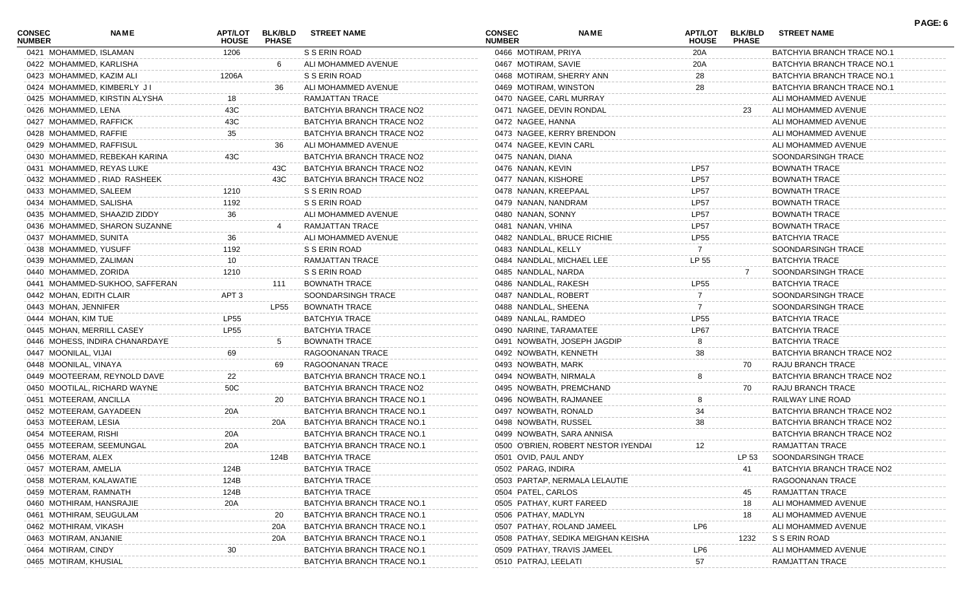| <b>CONSEC</b><br><b>NUMBER</b> | NAME                           | APT/LOT<br><b>HOUSE</b> | <b>BLK/BLD</b><br><b>PHASE</b> | <b>STREET NAME</b>         | <b>CONSEC</b><br><b>NUMBER</b> | <b>NAME</b>                         | APT/LOT<br><b>HOUSE</b> | <b>BLK/BLD</b><br><b>PHASE</b> | <b>STREET NAME</b>         | PAGE: 6 |
|--------------------------------|--------------------------------|-------------------------|--------------------------------|----------------------------|--------------------------------|-------------------------------------|-------------------------|--------------------------------|----------------------------|---------|
| 0421 MOHAMMED, ISLAMAN         |                                | 1206                    |                                | S S ERIN ROAD              | 0466 MOTIRAM, PRIYA            |                                     | 20A                     |                                | BATCHYIA BRANCH TRACE NO.1 |         |
|                                | 0422 MOHAMMED, KARLISHA        |                         | -6                             | ALI MOHAMMED AVENUE        | 0467 MOTIRAM, SAVIE            |                                     | 20A                     |                                | BATCHYIA BRANCH TRACE NO.1 |         |
|                                | 0423 MOHAMMED, KAZIM ALI       | 1206A                   |                                | S S ERIN ROAD              | 0468 MOTIRAM, SHERRY ANN       |                                     | 28                      |                                | BATCHYIA BRANCH TRACE NO.1 |         |
|                                | 0424 MOHAMMED, KIMBERLY JI     |                         | 36                             | ALI MOHAMMED AVENUE        | 0469 MOTIRAM, WINSTON          |                                     | 28                      |                                | BATCHYIA BRANCH TRACE NO.1 |         |
|                                | 0425 MOHAMMED, KIRSTIN ALYSHA  | 18                      |                                | RAMJATTAN TRACE            | 0470 NAGEE, CARL MURRAY        |                                     |                         |                                | ALI MOHAMMED AVENUE        |         |
| 0426 MOHAMMED, LENA            |                                | 43C                     |                                | BATCHYIA BRANCH TRACE NO2  | 0471 NAGEE, DEVIN RONDAL       |                                     |                         | 23                             | ALI MOHAMMED AVENUE        |         |
| 0427 MOHAMMED, RAFFICK         |                                | 43C                     |                                | BATCHYIA BRANCH TRACE NO2  | 0472 NAGEE, HANNA              |                                     |                         |                                | ALI MOHAMMED AVENUE        |         |
| 0428 MOHAMMED, RAFFIE          |                                | 35                      |                                | BATCHYIA BRANCH TRACE NO2  |                                | 0473 NAGEE, KERRY BRENDON           |                         |                                | ALI MOHAMMED AVENUE        |         |
|                                | 0429 MOHAMMED, RAFFISUL        |                         | 36                             | ALI MOHAMMED AVENUE        | 0474 NAGEE, KEVIN CARL         |                                     |                         |                                | ALI MOHAMMED AVENUE        |         |
|                                | 0430 MOHAMMED, REBEKAH KARINA  | 43C                     |                                | BATCHYIA BRANCH TRACE NO2  | 0475 NANAN, DIANA              |                                     |                         |                                | SOONDARSINGH TRACE         |         |
|                                | 0431 MOHAMMED, REYAS LUKE      |                         | 43C                            | BATCHYIA BRANCH TRACE NO2  | 0476 NANAN, KEVIN              |                                     | LP <sub>57</sub>        |                                | <b>BOWNATH TRACE</b>       |         |
|                                | 0432 MOHAMMED, RIAD RASHEEK    |                         | 43C                            | BATCHYIA BRANCH TRACE NO2  | 0477 NANAN, KISHORE            |                                     | <b>LP57</b>             |                                | <b>BOWNATH TRACE</b>       |         |
| 0433 MOHAMMED, SALEEM          |                                | 1210                    |                                | S S ERIN ROAD              | 0478 NANAN, KREEPAAL           |                                     | <b>LP57</b>             |                                | <b>BOWNATH TRACE</b>       |         |
| 0434 MOHAMMED, SALISHA         |                                | 1192                    |                                | S S ERIN ROAD              | 0479 NANAN, NANDRAM            |                                     | <b>LP57</b>             |                                | <b>BOWNATH TRACE</b>       |         |
|                                | 0435 MOHAMMED, SHAAZID ZIDDY   | 36                      |                                | ALI MOHAMMED AVENUE        | 0480 NANAN, SONNY              |                                     | <b>LP57</b>             |                                | <b>BOWNATH TRACE</b>       |         |
|                                | 0436 MOHAMMED, SHARON SUZANNE  |                         |                                | RAMJATTAN TRACE            | 0481 NANAN, VHINA              |                                     | <b>LP57</b>             |                                | <b>BOWNATH TRACE</b>       |         |
| 0437 MOHAMMED, SUNITA          |                                | 36                      |                                | ALI MOHAMMED AVENUE        | 0482 NANDLAL, BRUCE RICHIE     |                                     | <b>LP55</b>             |                                | <b>BATCHYIA TRACE</b>      |         |
| 0438 MOHAMMED, YUSUFF          |                                | 1192                    |                                | S S ERIN ROAD              | 0483 NANDLAL, KELLY            |                                     | 7                       |                                | SOONDARSINGH TRACE         |         |
| 0439 MOHAMMED, ZALIMAN         |                                | 10                      |                                | RAMJATTAN TRACE            | 0484 NANDLAL, MICHAEL LEE      |                                     | LP 55                   |                                | <b>BATCHYIA TRACE</b>      |         |
| 0440 MOHAMMED, ZORIDA          |                                | 1210                    |                                | S S ERIN ROAD              | 0485 NANDLAL, NARDA            |                                     |                         |                                | SOONDARSINGH TRACE         |         |
|                                | 0441 MOHAMMED-SUKHOO, SAFFERAN |                         | 111                            | <b>BOWNATH TRACE</b>       | 0486 NANDLAL, RAKESH           |                                     | <b>LP55</b>             |                                | <b>BATCHYIA TRACE</b>      |         |
| 0442 MOHAN, EDITH CLAIR        |                                | APT 3                   |                                | SOONDARSINGH TRACE         | 0487 NANDLAL, ROBERT           |                                     |                         |                                | SOONDARSINGH TRACE         |         |
| 0443 MOHAN, JENNIFER           |                                |                         | LP55                           | <b>BOWNATH TRACE</b>       | 0488 NANDLAL, SHEENA           |                                     |                         |                                | SOONDARSINGH TRACE         |         |
| 0444 MOHAN, KIM TUE            |                                | <b>LP55</b>             |                                | <b>BATCHYIA TRACE</b>      | 0489 NANLAL, RAMDEO            |                                     | <b>LP55</b>             |                                | <b>BATCHYIA TRACE</b>      |         |
|                                | 0445 MOHAN, MERRILL CASEY      | <b>LP55</b>             |                                | <b>BATCHYIA TRACE</b>      | 0490 NARINE, TARAMATEE         |                                     | LP67                    |                                | <b>BATCHYIA TRACE</b>      |         |
|                                | 0446 MOHESS, INDIRA CHANARDAYE |                         | -5                             | <b>BOWNATH TRACE</b>       |                                | 0491 NOWBATH, JOSEPH JAGDIP         | 8                       |                                | <b>BATCHYIA TRACE</b>      |         |
| 0447 MOONILAL, VIJAI           |                                | 69                      |                                | RAGOONANAN TRACE           | 0492 NOWBATH, KENNETH          |                                     | 38                      |                                | BATCHYIA BRANCH TRACE NO2  |         |
| 0448 MOONILAL, VINAYA          |                                |                         | 69                             | RAGOONANAN TRACE           | 0493 NOWBATH, MARK             |                                     |                         | 70                             | RAJU BRANCH TRACE          |         |
|                                | 0449 MOOTEERAM, REYNOLD DAVE   | 22                      |                                | BATCHYIA BRANCH TRACE NO.1 | 0494 NOWBATH, NIRMALA          |                                     | 8                       |                                | BATCHYIA BRANCH TRACE NO2  |         |
|                                | 0450 MOOTILAL, RICHARD WAYNE   | 50C                     |                                | BATCHYIA BRANCH TRACE NO2  | 0495 NOWBATH, PREMCHAND        |                                     |                         | 70                             | RAJU BRANCH TRACE          |         |
| 0451 MOTEERAM, ANCILLA         |                                |                         | 20                             | BATCHYIA BRANCH TRACE NO.1 | 0496 NOWBATH, RAJMANEE         |                                     |                         |                                | RAILWAY LINE ROAD          |         |
|                                | 0452 MOTEERAM, GAYADEEN        | 20A                     |                                | BATCHYIA BRANCH TRACE NO.1 | 0497 NOWBATH, RONALD           |                                     | 34                      |                                | BATCHYIA BRANCH TRACE NO2  |         |
| 0453 MOTEERAM, LESIA           |                                |                         | 20A                            | BATCHYIA BRANCH TRACE NO.1 | 0498 NOWBATH, RUSSEL           |                                     | 38                      |                                | BATCHYIA BRANCH TRACE NO2  |         |
| 0454 MOTEERAM, RISHI           |                                | 20A                     |                                | BATCHYIA BRANCH TRACE NO.1 | 0499 NOWBATH, SARA ANNISA      |                                     |                         |                                | BATCHYIA BRANCH TRACE NO2  |         |
|                                | 0455 MOTEERAM, SEEMUNGAL       | 20A                     |                                | BATCHYIA BRANCH TRACE NO.1 |                                | 0500 O'BRIEN, ROBERT NESTOR IYENDAI | 12                      |                                | RAMJATTAN TRACE            |         |
| 0456 MOTERAM, ALEX             |                                |                         | 124B                           | <b>BATCHYIA TRACE</b>      | 0501 OVID, PAUL ANDY           |                                     |                         | LP 53                          | SOONDARSINGH TRACE         |         |
| 0457 MOTERAM, AMELIA           |                                | 124B                    |                                | <b>BATCHYIA TRACE</b>      | 0502 PARAG, INDIRA             |                                     |                         | 41                             | BATCHYIA BRANCH TRACE NO2  |         |
|                                | 0458 MOTERAM, KALAWATIE        | 124B                    |                                | <b>BATCHYIA TRACE</b>      |                                | 0503 PARTAP, NERMALA LELAUTIE       |                         |                                | RAGOONANAN TRACE           |         |
| 0459 MOTERAM, RAMNATH          |                                | 124B                    |                                | <b>BATCHYIA TRACE</b>      | 0504 PATEL, CARLOS             |                                     |                         | 45                             | RAMJATTAN TRACE            |         |
|                                | 0460 MOTHIRAM, HANSRAJIE       | 20A                     |                                | BATCHYIA BRANCH TRACE NO.1 | 0505 PATHAY, KURT FAREED       |                                     |                         | 18                             | ALI MOHAMMED AVENUE        |         |
|                                | 0461 MOTHIRAM, SEUGULAM        |                         | 20                             | BATCHYIA BRANCH TRACE NO.1 | 0506 PATHAY, MADLYN            |                                     |                         | 18                             | ALI MOHAMMED AVENUE        |         |
| 0462 MOTHIRAM, VIKASH          |                                |                         | 20A                            | BATCHYIA BRANCH TRACE NO.1 |                                | 0507 PATHAY, ROLAND JAMEEL          | LP6                     |                                | ALI MOHAMMED AVENUE        |         |
| 0463 MOTIRAM, ANJANIE          |                                |                         | 20A                            | BATCHYIA BRANCH TRACE NO.1 |                                | 0508 PATHAY, SEDIKA MEIGHAN KEISHA  |                         | 1232                           | S S ERIN ROAD              |         |
| 0464 MOTIRAM, CINDY            |                                | 30                      |                                | BATCHYIA BRANCH TRACE NO.1 | 0509 PATHAY, TRAVIS JAMEEL     |                                     | LP6                     |                                | ALI MOHAMMED AVENUE        |         |
| 0465 MOTIRAM, KHUSIAL          |                                |                         |                                | BATCHYIA BRANCH TRACE NO.1 | 0510 PATRAJ, LEELATI           |                                     | 57                      |                                | RAMJATTAN TRACE            |         |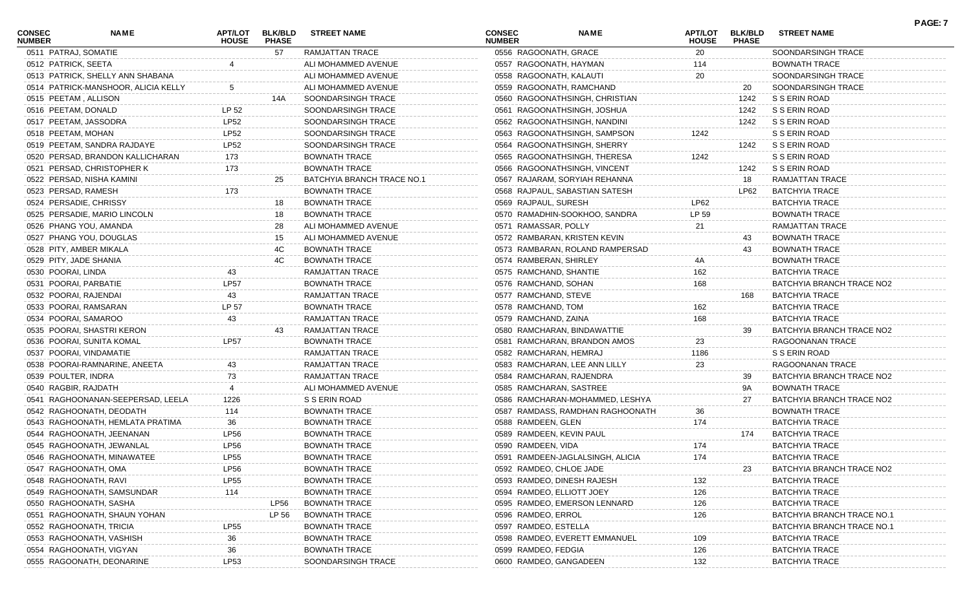| CONSEC<br><b>NUMBER</b> | NAME                                | APT/LOT<br><b>HOUSE</b> | <b>BLK/BLD</b><br><b>PHASE</b> | <b>STREET NAME</b>         | CONSEC<br><b>NUMBER</b>   | <b>NAME</b>                      | <b>APT/LOT</b><br><b>HOUSE</b> | <b>BLK/BLD</b><br><b>PHASE</b> | <b>STREET NAME</b>         | PAGE: 7 |
|-------------------------|-------------------------------------|-------------------------|--------------------------------|----------------------------|---------------------------|----------------------------------|--------------------------------|--------------------------------|----------------------------|---------|
| 0511 PATRAJ, SOMATIE    |                                     |                         | 57                             | RAMJATTAN TRACE            | 0556 RAGOONATH, GRACE     |                                  | 20                             |                                | SOONDARSINGH TRACE         |         |
| 0512 PATRICK, SEETA     |                                     |                         |                                | ALI MOHAMMED AVENUE        | 0557 RAGOONATH, HAYMAN    |                                  | 114                            |                                | BOWNATH TRACE              |         |
|                         | 0513 PATRICK, SHELLY ANN SHABANA    |                         |                                | ALI MOHAMMED AVENUE        | 0558 RAGOONATH, KALAUTI   |                                  | 20                             |                                | SOONDARSINGH TRACE         |         |
|                         | 0514 PATRICK-MANSHOOR, ALICIA KELLY |                         |                                | ALI MOHAMMED AVENUE        |                           | 0559 RAGOONATH, RAMCHAND         |                                | 20                             | SOONDARSINGH TRACE         |         |
|                         | 0515 PEETAM, ALLISON                |                         | 14A                            | SOONDARSINGH TRACE         |                           | 0560 RAGOONATHSINGH, CHRISTIAN   |                                | 1242                           | S S ERIN ROAD              |         |
| 0516 PEETAM, DONALD     |                                     | LP 52                   |                                | SOONDARSINGH TRACE         |                           | 0561 RAGOONATHSINGH, JOSHUA      |                                | 1242                           | S S ERIN ROAD              |         |
|                         | 0517 PEETAM, JASSODRA               | <b>LP52</b>             |                                | SOONDARSINGH TRACE         |                           | 0562 RAGOONATHSINGH, NANDINI     |                                | 1242                           | S S ERIN ROAD              |         |
| 0518 PEETAM, MOHAN      |                                     | <b>LP52</b>             |                                | SOONDARSINGH TRACE         |                           | 0563 RAGOONATHSINGH, SAMPSON     | 1242                           |                                | S S ERIN ROAD              |         |
|                         | 0519 PEETAM, SANDRA RAJDAYE         | <b>LP52</b>             |                                | SOONDARSINGH TRACE         |                           | 0564 RAGOONATHSINGH, SHERRY      |                                | 1242                           | S S ERIN ROAD              |         |
|                         | 0520 PERSAD, BRANDON KALLICHARAN    | 173                     |                                | <b>BOWNATH TRACE</b>       |                           | 0565 RAGOONATHSINGH, THERESA     | 1242                           |                                | S S ERIN ROAD              |         |
|                         | 0521 PERSAD, CHRISTOPHER K          | 173                     |                                | <b>BOWNATH TRACE</b>       |                           | 0566 RAGOONATHSINGH, VINCENT     |                                | 1242                           | S S ERIN ROAD              |         |
|                         | 0522 PERSAD, NISHA KAMINI           |                         | 25                             | BATCHYIA BRANCH TRACE NO.1 |                           | 0567 RAJARAM, SORYIAH REHANNA    |                                | 18                             | RAMJATTAN TRACE            |         |
|                         | 0523 PERSAD, RAMESH                 | 173                     |                                | <b>BOWNATH TRACE</b>       |                           | 0568 RAJPAUL, SABASTIAN SATESH   |                                | LP62                           | <b>BATCHYIA TRACE</b>      |         |
|                         | 0524 PERSADIE, CHRISSY              |                         | 18                             | <b>BOWNATH TRACE</b>       | 0569 RAJPAUL, SURESH      |                                  | <b>LP62</b>                    |                                | <b>BATCHYIA TRACE</b>      |         |
|                         | 0525 PERSADIE, MARIO LINCOLN        |                         | 18                             | <b>BOWNATH TRACE</b>       |                           | 0570 RAMADHIN-SOOKHOO, SANDRA    | LP 59                          |                                | BOWNATH TRACE              |         |
|                         | 0526 PHANG YOU, AMANDA              |                         | 28                             | ALI MOHAMMED AVENUE        | 0571 RAMASSAR, POLLY      |                                  | 21                             |                                | RAMJATTAN TRACE            |         |
|                         | 0527 PHANG YOU, DOUGLAS             |                         | 15                             | ALI MOHAMMED AVENUE        |                           | 0572 RAMBARAN, KRISTEN KEVIN     |                                | 43                             | <b>BOWNATH TRACE</b>       |         |
|                         | 0528 PITY, AMBER MIKALA             |                         | 4C                             | <b>BOWNATH TRACE</b>       |                           | 0573 RAMBARAN, ROLAND RAMPERSAD  |                                | 43                             | <b>BOWNATH TRACE</b>       |         |
|                         | 0529 PITY, JADE SHANIA              |                         | 4C                             | <b>BOWNATH TRACE</b>       | 0574 RAMBERAN, SHIRLEY    |                                  | 4Α                             |                                | <b>BOWNATH TRACE</b>       |         |
| 0530 POORAI, LINDA      |                                     | 43                      |                                | RAMJATTAN TRACE            | 0575 RAMCHAND, SHANTIE    |                                  | 162                            |                                | BATCHYIA TRACE             |         |
|                         | 0531 POORAI, PARBATIE               | <b>LP57</b>             |                                | <b>BOWNATH TRACE</b>       | 0576 RAMCHAND, SOHAN      |                                  | 168                            |                                | BATCHYIA BRANCH TRACE NO2  |         |
|                         | 0532 POORAI, RAJENDAI               | 43                      |                                | RAMJATTAN TRACE            | 0577 RAMCHAND, STEVE      |                                  |                                | 168                            | <b>BATCHYIA TRACE</b>      |         |
|                         | 0533 POORAI, RAMSARAN               | LP 57                   |                                | <b>BOWNATH TRACE</b>       | 0578 RAMCHAND, TOM        |                                  | 162                            |                                | <b>BATCHYIA TRACE</b>      |         |
|                         | 0534 POORAI, SAMAROO                | 43                      |                                | RAMJATTAN TRACE            | 0579 RAMCHAND, ZAINA      |                                  | 168                            |                                | <b>BATCHYIA TRACE</b>      |         |
|                         | 0535 POORAI, SHASTRI KERON          |                         | 43                             | <b>RAMJATTAN TRACE</b>     |                           | 0580 RAMCHARAN, BINDAWATTIE      |                                | 39                             | BATCHYIA BRANCH TRACE NO2  |         |
|                         | 0536 POORAI, SUNITA KOMAL           | <b>LP57</b>             |                                | <b>BOWNATH TRACE</b>       |                           | 0581 RAMCHARAN, BRANDON AMOS     | 23                             |                                | RAGOONANAN TRACE           |         |
|                         | 0537 POORAI, VINDAMATIE             |                         |                                | RAMJATTAN TRACE            | 0582 RAMCHARAN, HEMRAJ    |                                  | 1186                           |                                | S S ERIN ROAD              |         |
|                         | 0538 POORAI-RAMNARINE, ANEETA       |                         |                                | RAMJATTAN TRACE            |                           | 0583 RAMCHARAN, LEE ANN LILLY    | 23                             |                                | RAGOONANAN TRACE           |         |
| 0539 POULTER, INDRA     |                                     | 73                      |                                | RAMJATTAN TRACE            | 0584 RAMCHARAN, RAJENDRA  |                                  |                                | 39                             | BATCHYIA BRANCH TRACE NO2  |         |
|                         | 0540 RAGBIR, RAJDATH                |                         |                                | ALI MOHAMMED AVENUE        | 0585 RAMCHARAN, SASTREE   |                                  |                                | 9A                             | <b>BOWNATH TRACE</b>       |         |
|                         | 0541 RAGHOONANAN-SEEPERSAD, LEELA   | 1226                    |                                | S S ERIN ROAD              |                           | 0586 RAMCHARAN-MOHAMMED, LESHYA  |                                | 27                             | BATCHYIA BRANCH TRACE NO2  |         |
|                         | 0542 RAGHOONATH, DEODATH            | 114                     |                                | <b>BOWNATH TRACE</b>       |                           | 0587 RAMDASS, RAMDHAN RAGHOONATH | 36                             |                                | <b>BOWNATH TRACE</b>       |         |
|                         | 0543 RAGHOONATH, HEMLATA PRATIMA    | 36                      |                                | <b>BOWNATH TRACE</b>       | 0588 RAMDEEN, GLEN        |                                  | 174                            |                                | <b>BATCHYIA TRACE</b>      |         |
|                         | 0544 RAGHOONATH, JEENANAN           | <b>LP56</b>             |                                | <b>BOWNATH TRACE</b>       | 0589 RAMDEEN, KEVIN PAUL  |                                  |                                | 174                            | <b>BATCHYIA TRACE</b>      |         |
|                         | 0545 RAGHOONATH, JEWANLAL           | LP56                    |                                | <b>BOWNATH TRACE</b>       | 0590 RAMDEEN, VIDA        |                                  | 174                            |                                | <b>BATCHYIA TRACE</b>      |         |
|                         | 0546 RAGHOONATH, MINAWATEE          | <b>LP55</b>             |                                | <b>BOWNATH TRACE</b>       |                           | 0591 RAMDEEN-JAGLALSINGH, ALICIA | 174                            |                                | <b>BATCHYIA TRACE</b>      |         |
|                         | 0547 RAGHOONATH, OMA                | <b>LP56</b>             |                                | <b>BOWNATH TRACE</b>       | 0592 RAMDEO, CHLOE JADE   |                                  |                                | 23                             | BATCHYIA BRANCH TRACE NO2  |         |
|                         | 0548 RAGHOONATH, RAVI               | <b>LP55</b>             |                                | <b>BOWNATH TRACE</b>       |                           | 0593 RAMDEO, DINESH RAJESH       | 132                            |                                | BATCHYIA TRACE             |         |
|                         | 0549 RAGHOONATH, SAMSUNDAR          | 114                     |                                | <b>BOWNATH TRACE</b>       | 0594 RAMDEO, ELLIOTT JOEY |                                  | 126                            |                                | <b>BATCHYIA TRACE</b>      |         |
|                         | 0550 RAGHOONATH, SASHA              |                         | LP56                           | <b>BOWNATH TRACE</b>       |                           | 0595 RAMDEO, EMERSON LENNARD     | 126                            |                                | <b>BATCHYIA TRACE</b>      |         |
|                         | 0551 RAGHOONATH, SHAUN YOHAN        |                         | LP 56                          | <b>BOWNATH TRACE</b>       | 0596 RAMDEO, ERROL        |                                  | 126                            |                                | BATCHYIA BRANCH TRACE NO.  |         |
|                         | 0552 RAGHOONATH, TRICIA             | <b>LP55</b>             |                                | <b>BOWNATH TRACE</b>       | 0597 RAMDEO, ESTELLA      |                                  |                                |                                | BATCHYIA BRANCH TRACE NO.1 |         |
|                         | 0553 RAGHOONATH, VASHISH            | 36                      |                                | <b>BOWNATH TRACE</b>       |                           | 0598 RAMDEO, EVERETT EMMANUEL    | 109                            |                                | <b>BATCHYIA TRACE</b>      |         |
|                         | 0554 RAGHOONATH, VIGYAN             | 36                      |                                | <b>BOWNATH TRACE</b>       | 0599 RAMDEO, FEDGIA       |                                  | 126                            |                                | <b>BATCHYIA TRACE</b>      |         |
|                         | 0555 RAGOONATH, DEONARINE           | LP53                    |                                | SOONDARSINGH TRACE         | 0600 RAMDEO, GANGADEEN    |                                  | 132                            |                                | <b>BATCHYIA TRACE</b>      |         |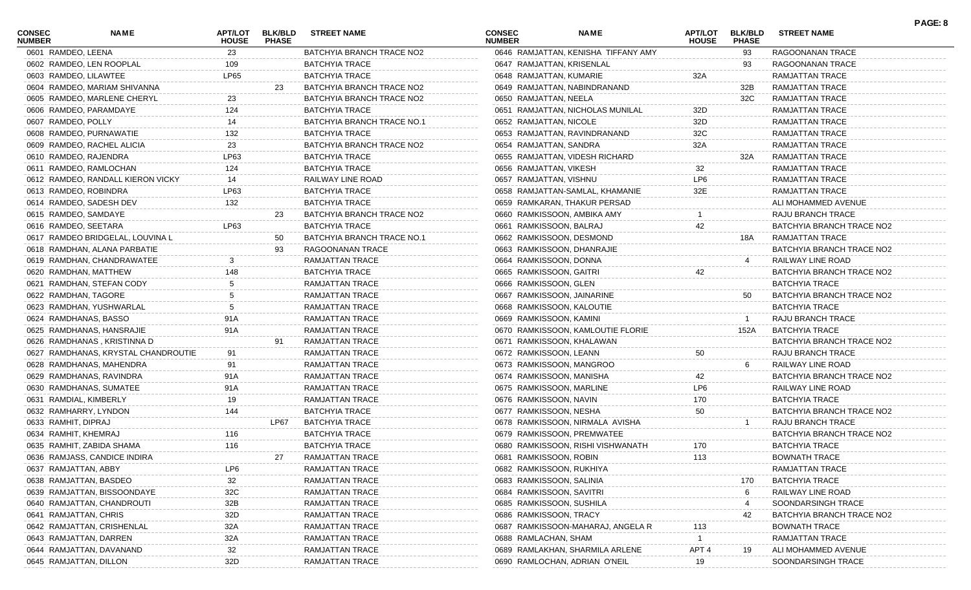| <b>CONSEC</b><br><b>NUMBER</b> | NAME                                | <b>APT/LOT</b><br><b>HOUSE</b> | <b>BLK/BLD</b><br><b>PHASE</b> | <b>STREET NAME</b>         | <b>CONSEC</b><br><b>NUMBER</b> | <b>NAME</b>                         | APT/LOT<br><b>HOUSE</b> | <b>BLK/BLD</b><br><b>PHASE</b> | <b>STREET NAME</b>        | PAGE: 8 |
|--------------------------------|-------------------------------------|--------------------------------|--------------------------------|----------------------------|--------------------------------|-------------------------------------|-------------------------|--------------------------------|---------------------------|---------|
| 0601 RAMDEO, LEENA             |                                     | 23                             |                                | BATCHYIA BRANCH TRACE NO2  |                                | 0646 RAMJATTAN, KENISHA TIFFANY AMY |                         | 93                             | RAGOONANAN TRACE          |         |
|                                | 0602 RAMDEO, LEN ROOPLAL            | 109                            |                                | <b>BATCHYIA TRACE</b>      | 0647 RAMJATTAN, KRISENLAL      |                                     |                         | 93                             | RAGOONANAN TRACE          |         |
| 0603 RAMDEO, LILAWTEE          |                                     | LP65                           |                                | <b>BATCHYIA TRACE</b>      | 0648 RAMJATTAN, KUMARIE        |                                     | 32A                     |                                | RAMJATTAN TRACE           |         |
|                                | 0604 RAMDEO, MARIAM SHIVANNA        |                                | 23                             | BATCHYIA BRANCH TRACE NO2  |                                | 0649 RAMJATTAN, NABINDRANAND        |                         | 32B                            | RAMJATTAN TRACE           |         |
|                                | 0605 RAMDEO, MARLENE CHERYL         | 23                             |                                | BATCHYIA BRANCH TRACE NO2  | 0650 RAMJATTAN, NEELA          |                                     |                         | 32C                            | RAMJATTAN TRACE           |         |
|                                | 0606 RAMDEO, PARAMDAYE              | 124                            |                                | <b>BATCHYIA TRACE</b>      |                                | 0651 RAMJATTAN, NICHOLAS MUNILAL    | 32D                     |                                | RAMJATTAN TRACE           |         |
| 0607 RAMDEO, POLLY             |                                     | 14                             |                                | BATCHYIA BRANCH TRACE NO.1 | 0652 RAMJATTAN, NICOLE         |                                     | 32D                     |                                | RAMJATTAN TRACE           |         |
|                                | 0608 RAMDEO, PURNAWATIE             | 132                            |                                | <b>BATCHYIA TRACE</b>      |                                | 0653 RAMJATTAN, RAVINDRANAND        | 32C                     |                                | RAMJATTAN TRACE           |         |
|                                | 0609 RAMDEO, RACHEL ALICIA          | 23                             |                                | BATCHYIA BRANCH TRACE NO2  | 0654 RAMJATTAN, SANDRA         |                                     | 32A                     |                                | RAMJATTAN TRACE           |         |
|                                | 0610 RAMDEO, RAJENDRA               | LP63                           |                                | <b>BATCHYIA TRACE</b>      |                                | 0655 RAMJATTAN, VIDESH RICHARD      |                         | 32A                            | RAMJATTAN TRACE           |         |
|                                | 0611 RAMDEO, RAMLOCHAN              | 124                            |                                | <b>BATCHYIA TRACE</b>      | 0656 RAMJATTAN, VIKESH         |                                     | 32                      |                                | RAMJATTAN TRACE           |         |
|                                | 0612 RAMDEO, RANDALL KIERON VICKY   | 14                             |                                | RAILWAY LINE ROAD          | 0657 RAMJATTAN, VISHNU         |                                     | LP6                     |                                | RAMJATTAN TRACE           |         |
|                                | 0613 RAMDEO, ROBINDRA               | LP63                           |                                | <b>BATCHYIA TRACE</b>      |                                | 0658 RAMJATTAN-SAMLAL, KHAMANIE     | 32E                     |                                | RAMJATTAN TRACE           |         |
|                                | 0614 RAMDEO, SADESH DEV             | 132                            |                                | <b>BATCHYIA TRACE</b>      |                                | 0659 RAMKARAN, THAKUR PERSAD        |                         |                                | ALI MOHAMMED AVENUE       |         |
| 0615 RAMDEO, SAMDAYE           |                                     |                                | 23                             | BATCHYIA BRANCH TRACE NO2  | 0660 RAMKISSOON, AMBIKA AMY    |                                     |                         |                                | RAJU BRANCH TRACE         |         |
| 0616 RAMDEO, SEETARA           |                                     | LP63                           |                                | <b>BATCHYIA TRACE</b>      | 0661 RAMKISSOON, BALRAJ        |                                     | 42                      |                                | BATCHYIA BRANCH TRACE NO2 |         |
|                                | 0617 RAMDEO BRIDGELAL, LOUVINA L    |                                | 50                             | BATCHYIA BRANCH TRACE NO.1 | 0662 RAMKISSOON, DESMOND       |                                     |                         | 18A                            | RAMJATTAN TRACE           |         |
|                                | 0618 RAMDHAN, ALANA PARBATIE        |                                | 93                             | RAGOONANAN TRACE           | 0663 RAMKISSOON, DHANRAJIE     |                                     |                         |                                | BATCHYIA BRANCH TRACE NO2 |         |
|                                | 0619 RAMDHAN, CHANDRAWATEE          |                                |                                | RAMJATTAN TRACE            | 0664 RAMKISSOON, DONNA         |                                     |                         |                                | RAILWAY LINE ROAD         |         |
|                                | 0620 RAMDHAN, MATTHEW               | 148                            |                                | <b>BATCHYIA TRACE</b>      | 0665 RAMKISSOON, GAITRI        |                                     | 42                      |                                | BATCHYIA BRANCH TRACE NO2 |         |
|                                | 0621 RAMDHAN, STEFAN CODY           |                                |                                | RAMJATTAN TRACE            | 0666 RAMKISSOON, GLEN          |                                     |                         |                                | <b>BATCHYIA TRACE</b>     |         |
| 0622 RAMDHAN, TAGORE           |                                     |                                |                                | RAMJATTAN TRACE            | 0667 RAMKISSOON, JAINARINE     |                                     |                         | 50                             | BATCHYIA BRANCH TRACE NO2 |         |
|                                | 0623 RAMDHAN, YUSHWARLAL            |                                |                                | <b>RAMJATTAN TRACE</b>     | 0668 RAMKISSOON, KALOUTIE      |                                     |                         |                                | <b>BATCHYIA TRACE</b>     |         |
|                                | 0624 RAMDHANAS, BASSO               | 91A                            |                                | RAMJATTAN TRACE            | 0669 RAMKISSOON, KAMINI        |                                     |                         |                                | RAJU BRANCH TRACE         |         |
|                                | 0625 RAMDHANAS, HANSRAJIE           | 91A                            |                                | RAMJATTAN TRACE            |                                | 0670 RAMKISSOON, KAMLOUTIE FLORIE   |                         | 152A                           | <b>BATCHYIA TRACE</b>     |         |
|                                | 0626 RAMDHANAS, KRISTINNA D         |                                | 91                             | RAMJATTAN TRACE            | 0671 RAMKISSOON, KHALAWAN      |                                     |                         |                                | BATCHYIA BRANCH TRACE NO2 |         |
|                                | 0627 RAMDHANAS, KRYSTAL CHANDROUTIE | 91                             |                                | <b>RAMJATTAN TRACE</b>     | 0672 RAMKISSOON, LEANN         |                                     | 50                      |                                | RAJU BRANCH TRACE         |         |
|                                | 0628 RAMDHANAS, MAHENDRA            |                                |                                | RAMJATTAN TRACE            | 0673 RAMKISSOON, MANGROO       |                                     |                         |                                | RAILWAY LINE ROAD         |         |
|                                | 0629 RAMDHANAS, RAVINDRA            | 91A                            |                                | RAMJATTAN TRACE            | 0674 RAMKISSOON, MANISHA       |                                     | 42                      |                                | BATCHYIA BRANCH TRACE NO2 |         |
|                                | 0630 RAMDHANAS, SUMATEE             | 91A                            |                                | <b>RAMJATTAN TRACE</b>     | 0675 RAMKISSOON, MARLINE       |                                     | LP6                     |                                | RAILWAY LINE ROAD         |         |
| 0631 RAMDIAL, KIMBERLY         |                                     | 19                             |                                | <b>RAMJATTAN TRACE</b>     | 0676 RAMKISSOON, NAVIN         |                                     | 170                     |                                | <b>BATCHYIA TRACE</b>     |         |
|                                | 0632 RAMHARRY, LYNDON               | 144                            |                                | <b>BATCHYIA TRACE</b>      | 0677 RAMKISSOON, NESHA         |                                     | 50                      |                                | BATCHYIA BRANCH TRACE NO2 |         |
| 0633 RAMHIT, DIPRAJ            |                                     |                                | LP67                           | <b>BATCHYIA TRACE</b>      |                                | 0678 RAMKISSOON, NIRMALA AVISHA     |                         |                                | RAJU BRANCH TRACE         |         |
| 0634 RAMHIT, KHEMRAJ           |                                     | 116                            |                                | <b>BATCHYIA TRACE</b>      | 0679 RAMKISSOON, PREMWATEE     |                                     |                         |                                | BATCHYIA BRANCH TRACE NO2 |         |
|                                | 0635 RAMHIT, ZABIDA SHAMA           | 116                            |                                | <b>BATCHYIA TRACE</b>      |                                | 0680 RAMKISSOON, RISHI VISHWANATH   | 170                     |                                | <b>BATCHYIA TRACE</b>     |         |
|                                | 0636 RAMJASS, CANDICE INDIRA        |                                | 27                             | RAMJATTAN TRACE            | 0681 RAMKISSOON, ROBIN         |                                     | 113                     |                                | <b>BOWNATH TRACE</b>      |         |
| 0637 RAMJATTAN, ABBY           |                                     | LP6                            |                                | RAMJATTAN TRACE            | 0682 RAMKISSOON, RUKHIYA       |                                     |                         |                                | RAMJATTAN TRACE           |         |
|                                | 0638 RAMJATTAN, BASDEO              | 32                             |                                | RAMJATTAN TRACE            | 0683 RAMKISSOON, SALINIA       |                                     |                         | 170                            | <b>BATCHYIA TRACE</b>     |         |
|                                | 0639 RAMJATTAN, BISSOONDAYE         | 32C                            |                                | <b>RAMJATTAN TRACE</b>     | 0684 RAMKISSOON, SAVITRI       |                                     |                         |                                | RAILWAY LINE ROAD         |         |
|                                |                                     |                                |                                |                            | 0685 RAMKISSOON, SUSHILA       |                                     |                         |                                |                           |         |
|                                | 0640 RAMJATTAN, CHANDROUTI          | 32B                            |                                | <b>RAMJATTAN TRACE</b>     |                                |                                     |                         |                                | SOONDARSINGH TRACE        |         |
| 0641 RAMJATTAN, CHRIS          |                                     | 32D                            |                                | RAMJATTAN TRACE            | 0686 RAMKISSOON, TRACY         |                                     |                         | 42                             | BATCHYIA BRANCH TRACE NO2 |         |
|                                | 0642 RAMJATTAN, CRISHENLAL          | 32A                            |                                | <b>RAMJATTAN TRACE</b>     |                                | 0687 RAMKISSOON-MAHARAJ, ANGELA R   | 113                     |                                | <b>BOWNATH TRACE</b>      |         |
|                                | 0643 RAMJATTAN, DARREN              | 32A                            |                                | <b>RAMJATTAN TRACE</b>     | 0688 RAMLACHAN, SHAM           |                                     |                         |                                | <b>RAMJATTAN TRACE</b>    |         |
|                                | 0644 RAMJATTAN, DAVANAND            | 32                             |                                | RAMJATTAN TRACE            |                                | 0689 RAMLAKHAN, SHARMILA ARLENE     | APT <sub>4</sub>        | 19                             | ALI MOHAMMED AVENUE       |         |
| 0645 RAMJATTAN, DILLON         |                                     | 32D                            |                                | RAMJATTAN TRACE            |                                | 0690 RAMLOCHAN, ADRIAN O'NEIL       | 19                      |                                | SOONDARSINGH TRACE        |         |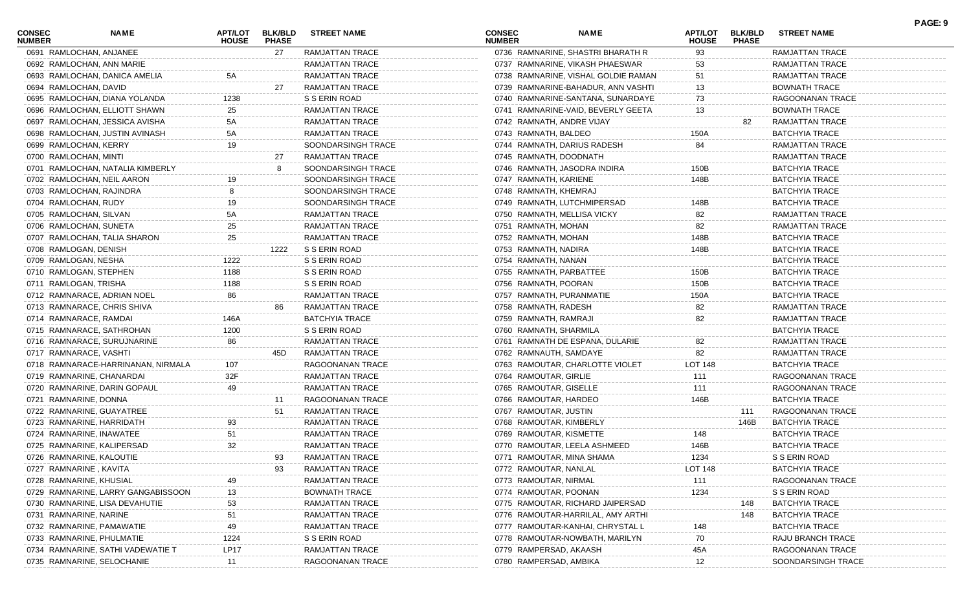| <b>CONSEC</b><br><b>NUMBER</b> | NAME                               | <b>APT/LOT</b><br><b>HOUSE</b> | <b>BLK/BLD</b><br><b>PHASE</b> | <b>STREET NAME</b>     | <b>CONSEC</b><br><b>NUMBER</b> | <b>NAME</b>                         | APT/LOT<br><b>HOUSE</b> | <b>BLK/BLD</b><br><b>PHASE</b> | <b>STREET NAME</b>     | PAGE: 9 |
|--------------------------------|------------------------------------|--------------------------------|--------------------------------|------------------------|--------------------------------|-------------------------------------|-------------------------|--------------------------------|------------------------|---------|
|                                | 0691 RAMLOCHAN, ANJANEE            |                                | 27                             | RAMJATTAN TRACE        |                                | 0736 RAMNARINE, SHASTRI BHARATH R   | 93                      |                                | RAMJATTAN TRACE        |         |
|                                | 0692 RAMLOCHAN, ANN MARIE          |                                |                                | RAMJATTAN TRACE        |                                | 0737 RAMNARINE, VIKASH PHAESWAR     | 53                      |                                | RAMJATTAN TRACE        |         |
|                                | 0693 RAMLOCHAN, DANICA AMELIA      |                                |                                | RAMJATTAN TRACE        |                                | 0738 RAMNARINE, VISHAL GOLDIE RAMAN | 51                      |                                | RAMJATTAN TRACE        |         |
| 0694 RAMLOCHAN, DAVID          |                                    |                                | 27                             | RAMJATTAN TRACE        |                                | 0739 RAMNARINE-BAHADUR, ANN VASHTI  | 13                      |                                | BOWNATH TRACE          |         |
|                                | 0695 RAMLOCHAN, DIANA YOLANDA      | 1238                           |                                | S S ERIN ROAD          |                                | 0740 RAMNARINE-SANTANA, SUNARDAYE   | 73                      |                                | RAGOONANAN TRACE       |         |
|                                | 0696 RAMLOCHAN, ELLIOTT SHAWN      | 25                             |                                | RAMJATTAN TRACE        |                                | 0741 RAMNARINE-VAID, BEVERLY GEETA  | 13                      |                                | BOWNATH TRACE          |         |
|                                | 0697 RAMLOCHAN, JESSICA AVISHA     | 5A                             |                                | RAMJATTAN TRACE        | 0742 RAMNATH, ANDRE VIJAY      |                                     |                         | 82                             | RAMJATTAN TRACE        |         |
|                                | 0698 RAMLOCHAN, JUSTIN AVINASH     | 5A                             |                                | RAMJATTAN TRACE        | 0743 RAMNATH, BALDEO           |                                     | 150A                    |                                | <b>BATCHYIA TRACE</b>  |         |
| 0699 RAMLOCHAN, KERRY          |                                    | 19                             |                                | SOONDARSINGH TRACE     |                                | 0744 RAMNATH, DARIUS RADESH         | 84                      |                                | RAMJATTAN TRACE        |         |
| 0700 RAMLOCHAN, MINTI          |                                    |                                | 27                             | RAMJATTAN TRACE        | 0745 RAMNATH, DOODNATH         |                                     |                         |                                | <b>RAMJATTAN TRACE</b> |         |
|                                | 0701 RAMLOCHAN, NATALIA KIMBERLY   |                                | 8                              | SOONDARSINGH TRACE     |                                | 0746 RAMNATH, JASODRA INDIRA        | 150B                    |                                | <b>BATCHYIA TRACE</b>  |         |
|                                | 0702 RAMLOCHAN, NEIL AARON         |                                |                                | SOONDARSINGH TRACE     | 0747 RAMNATH, KARIENE          |                                     | 148B                    |                                | <b>BATCHYIA TRACE</b>  |         |
|                                | 0703 RAMLOCHAN, RAJINDRA           |                                |                                | SOONDARSINGH TRACE     | 0748 RAMNATH, KHEMRAJ          |                                     |                         |                                | <b>BATCHYIA TRACE</b>  |         |
| 0704 RAMLOCHAN, RUDY           |                                    | 19                             |                                | SOONDARSINGH TRACE     |                                | 0749 RAMNATH, LUTCHMIPERSAD         | 148B                    |                                | <b>BATCHYIA TRACE</b>  |         |
| 0705 RAMLOCHAN, SILVAN         |                                    | 5А                             |                                | RAMJATTAN TRACE        | 0750 RAMNATH, MELLISA VICKY    |                                     | 82                      |                                | RAMJATTAN TRACE        |         |
| 0706 RAMLOCHAN, SUNETA         |                                    | 25                             |                                | <b>RAMJATTAN TRACE</b> | 0751 RAMNATH, MOHAN            |                                     | 82                      |                                | <b>RAMJATTAN TRACE</b> |         |
|                                | 0707 RAMLOCHAN, TALIA SHARON       | 25                             |                                | RAMJATTAN TRACE        | 0752 RAMNATH, MOHAN            |                                     | 148B                    |                                | <b>BATCHYIA TRACE</b>  |         |
| 0708 RAMLOGAN, DENISH          |                                    |                                | 1222                           | S S ERIN ROAD          | 0753 RAMNATH, NADIRA           |                                     | 148B                    |                                | <b>BATCHYIA TRACE</b>  |         |
| 0709 RAMLOGAN, NESHA           |                                    | 1222                           |                                | S S ERIN ROAD          | 0754 RAMNATH, NANAN            |                                     |                         |                                | <b>BATCHYIA TRACE</b>  |         |
| 0710 RAMLOGAN, STEPHEN         |                                    | 1188                           |                                | S S ERIN ROAD          | 0755 RAMNATH, PARBATTEE        |                                     | 150B                    |                                | <b>BATCHYIA TRACE</b>  |         |
| 0711 RAMLOGAN, TRISHA          |                                    | 1188                           |                                | S S ERIN ROAD          | 0756 RAMNATH, POORAN           |                                     | 150B                    |                                | <b>BATCHYIA TRACE</b>  |         |
|                                | 0712 RAMNARACE, ADRIAN NOEL        | 86                             |                                | <b>RAMJATTAN TRACE</b> | 0757 RAMNATH, PURANMATIE       |                                     | 150A                    |                                | <b>BATCHYIA TRACE</b>  |         |
|                                | 0713 RAMNARACE, CHRIS SHIVA        |                                | 86                             | RAMJATTAN TRACE        | 0758 RAMNATH, RADESH           |                                     | 82                      |                                | RAMJATTAN TRACE        |         |
| 0714 RAMNARACE, RAMDAI         |                                    | 146A                           |                                | <b>BATCHYIA TRACE</b>  | 0759 RAMNATH, RAMRAJI          |                                     | 82                      |                                | RAMJATTAN TRACE        |         |
|                                | 0715 RAMNARACE, SATHROHAN          | 1200                           |                                | S S ERIN ROAD          | 0760 RAMNATH, SHARMILA         |                                     |                         |                                | <b>BATCHYIA TRACE</b>  |         |
|                                | 0716 RAMNARACE, SURUJNARINE        | 86                             |                                | RAMJATTAN TRACE        |                                | 0761 RAMNATH DE ESPANA, DULARIE     | 82                      |                                | RAMJATTAN TRACE        |         |
| 0717 RAMNARACE, VASHTI         |                                    |                                | 45D                            | RAMJATTAN TRACE        | 0762 RAMNAUTH, SAMDAYE         |                                     | 82                      |                                | RAMJATTAN TRACE        |         |
|                                | 0718 RAMNARACE-HARRINANAN, NIRMALA | 107                            |                                | RAGOONANAN TRACE       |                                | 0763 RAMOUTAR, CHARLOTTE VIOLET     | LOT 148                 |                                | <b>BATCHYIA TRACE</b>  |         |
|                                | 0719 RAMNARINE, CHANARDAI          | 32F                            |                                | RAMJATTAN TRACE        | 0764 RAMOUTAR, GIRLIE          |                                     | 111                     |                                | RAGOONANAN TRACE       |         |
|                                | 0720 RAMNARINE, DARIN GOPAUL       | 49                             |                                | RAMJATTAN TRACE        | 0765 RAMOUTAR, GISELLE         |                                     | 111                     |                                | RAGOONANAN TRACE       |         |
| 0721 RAMNARINE, DONNA          |                                    |                                | 11                             | RAGOONANAN TRACE       | 0766 RAMOUTAR, HARDEO          |                                     | 146B                    |                                | <b>BATCHYIA TRACE</b>  |         |
|                                |                                    |                                | 51                             | RAMJATTAN TRACE        | 0767 RAMOUTAR, JUSTIN          |                                     |                         |                                | RAGOONANAN TRACE       |         |
|                                | 0722 RAMNARINE, GUAYATREE          |                                |                                | RAMJATTAN TRACE        |                                |                                     |                         | 111<br>146B                    | <b>BATCHYIA TRACE</b>  |         |
|                                | 0723 RAMNARINE, HARRIDATH          | 93                             |                                |                        | 0768 RAMOUTAR, KIMBERLY        |                                     |                         |                                |                        |         |
|                                | 0724 RAMNARINE, INAWATEE           |                                |                                | RAMJATTAN TRACE        | 0769 RAMOUTAR, KISMETTE        |                                     | 148                     |                                | <b>BATCHYIA TRACE</b>  |         |
|                                | 0725 RAMNARINE, KALIPERSAD         | 32                             |                                | RAMJATTAN TRACE        |                                | 0770 RAMOUTAR, LEELA ASHMEED        | 146B                    |                                | <b>BATCHYIA TRACE</b>  |         |
|                                | 0726 RAMNARINE, KALOUTIE           |                                | 93                             | RAMJATTAN TRACE        | 0771 RAMOUTAR, MINA SHAMA      |                                     | 1234                    |                                | S S ERIN ROAD          |         |
| 0727 RAMNARINE, KAVITA         |                                    |                                | 93                             | RAMJATTAN TRACE        | 0772 RAMOUTAR, NANLAL          |                                     | <b>LOT 148</b>          |                                | BATCHYIA TRACE         |         |
| 0728 RAMNARINE, KHUSIAL        |                                    |                                |                                | <b>RAMJATTAN TRACE</b> | 0773 RAMOUTAR, NIRMAL          |                                     | 111                     |                                | RAGOONANAN TRACE       |         |
|                                | 0729 RAMNARINE, LARRY GANGABISSOON | 13                             |                                | <b>BOWNATH TRACE</b>   | 0774 RAMOUTAR, POONAN          |                                     | 1234                    |                                | S S ERIN ROAD          |         |
|                                | 0730 RAMNARINE, LISA DEVAHUTIE     | 53                             |                                | RAMJATTAN TRACE        |                                | 0775 RAMOUTAR, RICHARD JAIPERSAD    |                         | 148                            | <b>BATCHYIA TRACE</b>  |         |
| 0731 RAMNARINE, NARINE         |                                    | 51                             |                                | RAMJATTAN TRACE        |                                | 0776 RAMOUTAR-HARRILAL, AMY ARTHI   |                         | 148                            | <b>BATCHYIA TRACE</b>  |         |
|                                | 0732 RAMNARINE, PAMAWATIE          | 49                             |                                | RAMJATTAN TRACE        |                                | 0777 RAMOUTAR-KANHAI, CHRYSTAL L    | 148                     |                                | <b>BATCHYIA TRACE</b>  |         |
|                                | 0733 RAMNARINE, PHULMATIE          | 1224                           |                                | S S ERIN ROAD          |                                | 0778 RAMOUTAR-NOWBATH, MARILYN      | 70                      |                                | RAJU BRANCH TRACE      |         |
|                                | 0734 RAMNARINE, SATHI VADEWATIE T  | LP17                           |                                | <b>RAMJATTAN TRACE</b> | 0779 RAMPERSAD, AKAASH         |                                     | 45A                     |                                | RAGOONANAN TRACE       |         |
|                                | 0735 RAMNARINE, SELOCHANIE         | 11                             |                                | RAGOONANAN TRACE       | 0780 RAMPERSAD, AMBIKA         |                                     | 12                      |                                | SOONDARSINGH TRACE     |         |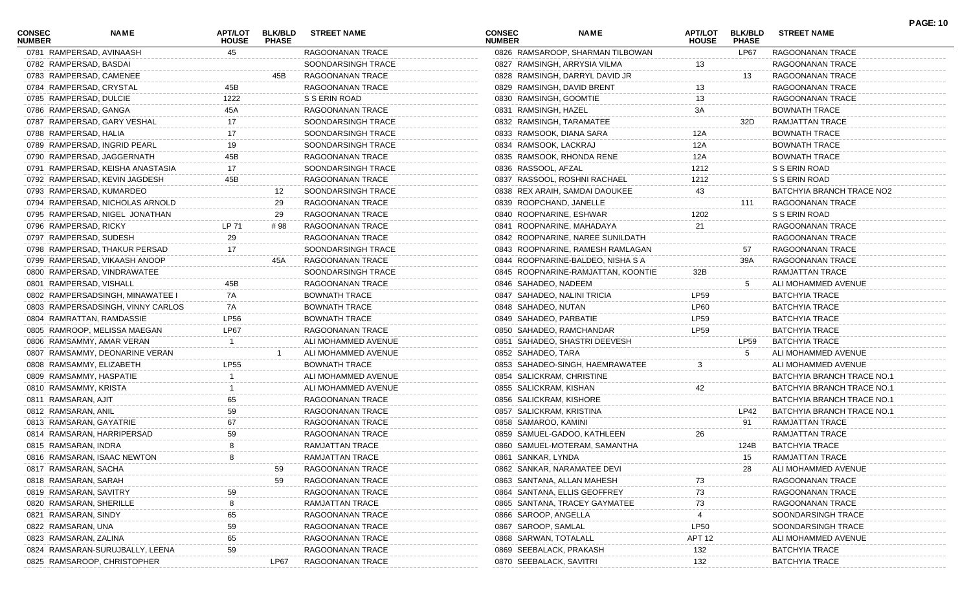| CONSEC<br><b>NUMBER</b> | NAME                              | APT/LOT<br><b>HOUSE</b> | <b>BLK/BLD</b><br><b>PHASE</b> | <b>STREET NAME</b>   | <b>CONSEC</b><br><b>NUMBER</b> | NAME                               | <b>APT/LOT</b><br><b>HOUSE</b> | <b>BLK/BLD</b><br><b>PHASE</b> | <b>STREET NAME</b>         | <b>PAGE: 10</b> |
|-------------------------|-----------------------------------|-------------------------|--------------------------------|----------------------|--------------------------------|------------------------------------|--------------------------------|--------------------------------|----------------------------|-----------------|
|                         | 0781 RAMPERSAD, AVINAASH          | 45                      |                                | RAGOONANAN TRACE     |                                | 0826 RAMSAROOP, SHARMAN TILBOWAN   |                                | LP67                           | RAGOONANAN TRACE           |                 |
| 0782 RAMPERSAD, BASDAI  |                                   |                         |                                | SOONDARSINGH TRACE   |                                | 0827 RAMSINGH, ARRYSIA VILMA       | 13                             |                                | RAGOONANAN TRACE           |                 |
|                         | 0783 RAMPERSAD, CAMENEE           |                         | 45B                            | RAGOONANAN TRACE     |                                | 0828 RAMSINGH, DARRYL DAVID JR     |                                | 13                             | RAGOONANAN TRACE           |                 |
|                         | 0784 RAMPERSAD, CRYSTAL           | 45B                     |                                | RAGOONANAN TRACE     |                                | 0829 RAMSINGH, DAVID BRENT         | 13                             |                                | RAGOONANAN TRACE           |                 |
| 0785 RAMPERSAD, DULCIE  |                                   | 1222                    |                                | S S ERIN ROAD        |                                | 0830 RAMSINGH, GOOMTIE             | 13                             |                                | RAGOONANAN TRACE           |                 |
| 0786 RAMPERSAD, GANGA   |                                   | 45A                     |                                | RAGOONANAN TRACE     |                                | 0831 RAMSINGH, HAZEL               | 3A                             |                                | <b>BOWNATH TRACE</b>       |                 |
|                         | 0787 RAMPERSAD, GARY VESHAL       | 17                      |                                | SOONDARSINGH TRACE   |                                | 0832 RAMSINGH, TARAMATEE           |                                | 32D                            | <b>RAMJATTAN TRACE</b>     |                 |
| 0788 RAMPERSAD, HALIA   |                                   | 17                      |                                | SOONDARSINGH TRACE   |                                | 0833 RAMSOOK, DIANA SARA           | 12A                            |                                | <b>BOWNATH TRACE</b>       |                 |
|                         | 0789 RAMPERSAD, INGRID PEARL      | 19                      |                                | SOONDARSINGH TRACE   |                                | 0834 RAMSOOK, LACKRAJ              | 12A                            |                                | <b>BOWNATH TRACE</b>       |                 |
|                         | 0790 RAMPERSAD, JAGGERNATH        | 45B                     |                                | RAGOONANAN TRACE     |                                | 0835 RAMSOOK, RHONDA RENE          | 12A                            |                                | <b>BOWNATH TRACE</b>       |                 |
|                         | 0791 RAMPERSAD, KEISHA ANASTASIA  | 17                      |                                | SOONDARSINGH TRACE   | 0836 RASSOOL, AFZAL            |                                    | 1212                           |                                | S S ERIN ROAD              |                 |
|                         | 0792 RAMPERSAD, KEVIN JAGDESH     | 45B                     |                                | RAGOONANAN TRACE     |                                | 0837 RASSOOL, ROSHNI RACHAEL       | 1212                           |                                | S S ERIN ROAD              |                 |
|                         | 0793 RAMPERSAD, KUMARDEO          |                         | 12                             | SOONDARSINGH TRACE   |                                | 0838 REX ARAIH, SAMDAI DAOUKEE     | 43                             |                                | BATCHYIA BRANCH TRACE NO2  |                 |
|                         | 0794 RAMPERSAD, NICHOLAS ARNOLD   |                         | 29                             | RAGOONANAN TRACE     |                                | 0839 ROOPCHAND, JANELLE            |                                | 111                            | RAGOONANAN TRACE           |                 |
|                         | 0795 RAMPERSAD, NIGEL JONATHAN    |                         | 29                             | RAGOONANAN TRACE     |                                | 0840 ROOPNARINE, ESHWAR            | 1202                           |                                | S S ERIN ROAD              |                 |
| 0796 RAMPERSAD, RICKY   |                                   | LP 71                   | # 98                           | RAGOONANAN TRACE     |                                | 0841 ROOPNARINE, MAHADAYA          | 21                             |                                | RAGOONANAN TRACE           |                 |
|                         | 0797 RAMPERSAD, SUDESH            | 29                      |                                | RAGOONANAN TRACE     |                                | 0842 ROOPNARINE, NAREE SUNILDATH   |                                |                                | RAGOONANAN TRACE           |                 |
|                         | 0798 RAMPERSAD, THAKUR PERSAD     | 17                      |                                | SOONDARSINGH TRACE   |                                | 0843 ROOPNARINE, RAMESH RAMLAGAN   |                                | 57                             | RAGOONANAN TRACE           |                 |
|                         | 0799 RAMPERSAD, VIKAASH ANOOP     |                         | 45A                            | RAGOONANAN TRACE     |                                | 0844 ROOPNARINE-BALDEO, NISHA S A  |                                | 39A                            | RAGOONANAN TRACE           |                 |
|                         | 0800 RAMPERSAD, VINDRAWATEE       |                         |                                | SOONDARSINGH TRACE   |                                | 0845 ROOPNARINE-RAMJATTAN, KOONTIE | 32B                            |                                | RAMJATTAN TRACE            |                 |
|                         | 0801 RAMPERSAD, VISHALL           | 45B                     |                                | RAGOONANAN TRACE     |                                | 0846 SAHADEO, NADEEM               |                                | 5                              | ALI MOHAMMED AVENUE        |                 |
|                         | 0802 RAMPERSADSINGH, MINAWATEE I  | 7A                      |                                | <b>BOWNATH TRACE</b> |                                | 0847 SAHADEO, NALINI TRICIA        | <b>LP59</b>                    |                                | <b>BATCHYIA TRACE</b>      |                 |
|                         | 0803 RAMPERSADSINGH, VINNY CARLOS | 7A                      |                                | <b>BOWNATH TRACE</b> | 0848 SAHADEO, NUTAN            |                                    | <b>LP60</b>                    |                                | <b>BATCHYIA TRACE</b>      |                 |
|                         | 0804 RAMRATTAN, RAMDASSIE         | <b>LP56</b>             |                                | <b>BOWNATH TRACE</b> |                                | 0849 SAHADEO, PARBATIE             | <b>LP59</b>                    |                                | <b>BATCHYIA TRACE</b>      |                 |
|                         | 0805 RAMROOP, MELISSA MAEGAN      | LP67                    |                                | RAGOONANAN TRACE     |                                | 0850 SAHADEO, RAMCHANDAR           | <b>LP59</b>                    |                                | <b>BATCHYIA TRACE</b>      |                 |
|                         | 0806 RAMSAMMY, AMAR VERAN         |                         |                                | ALI MOHAMMED AVENUE  |                                | 0851 SAHADEO, SHASTRI DEEVESH      |                                | LP59                           | BATCHYIA TRACE             |                 |
|                         | 0807 RAMSAMMY, DEONARINE VERAN    |                         |                                | ALI MOHAMMED AVENUE  | 0852 SAHADEO, TARA             |                                    |                                |                                | ALI MOHAMMED AVENUE        |                 |
|                         | 0808 RAMSAMMY, ELIZABETH          | <b>LP55</b>             |                                | <b>BOWNATH TRACE</b> |                                | 0853 SAHADEO-SINGH, HAEMRAWATEE    | 3                              |                                | ALI MOHAMMED AVENUE        |                 |
|                         | 0809 RAMSAMMY, HASPATIE           |                         |                                | ALI MOHAMMED AVENUE  |                                | 0854 SALICKRAM, CHRISTINE          |                                |                                | BATCHYIA BRANCH TRACE NO.1 |                 |
| 0810 RAMSAMMY, KRISTA   |                                   |                         |                                | ALI MOHAMMED AVENUE  |                                | 0855 SALICKRAM, KISHAN             | 42                             |                                | BATCHYIA BRANCH TRACE NO.1 |                 |
| 0811 RAMSARAN, AJIT     |                                   | 65                      |                                | RAGOONANAN TRACE     |                                | 0856 SALICKRAM, KISHORE            |                                |                                | BATCHYIA BRANCH TRACE NO.1 |                 |
| 0812 RAMSARAN, ANIL     |                                   | 59                      |                                | RAGOONANAN TRACE     |                                | 0857 SALICKRAM, KRISTINA           |                                | LP42                           | BATCHYIA BRANCH TRACE NO.1 |                 |
|                         | 0813 RAMSARAN, GAYATRIE           | 67                      |                                | RAGOONANAN TRACE     |                                | 0858 SAMAROO, KAMINI               |                                | 91                             | RAMJATTAN TRACE            |                 |
|                         | 0814 RAMSARAN, HARRIPERSAD        | 59                      |                                | RAGOONANAN TRACE     |                                | 0859 SAMUEL-GADOO, KATHLEEN        | 26                             |                                | <b>RAMJATTAN TRACE</b>     |                 |
| 0815 RAMSARAN, INDRA    |                                   | 8                       |                                | RAMJATTAN TRACE      |                                | 0860 SAMUEL-MOTERAM, SAMANTHA      |                                | 124B                           | <b>BATCHYIA TRACE</b>      |                 |
|                         |                                   | 8                       |                                |                      |                                |                                    |                                |                                |                            |                 |
|                         | 0816 RAMSARAN, ISAAC NEWTON       |                         |                                | RAMJATTAN TRACE      | 0861 SANKAR, LYNDA             |                                    |                                | 15                             | RAMJATTAN TRACE            |                 |
| 0817 RAMSARAN, SACHA    |                                   |                         | 59                             | RAGOONANAN TRACE     |                                | 0862 SANKAR, NARAMATEE DEV         |                                | 28                             | ALI MOHAMMED AVENUE        |                 |
| 0818 RAMSARAN, SARAH    |                                   |                         | 59                             | RAGOONANAN TRACE     |                                | 0863 SANTANA, ALLAN MAHESH         |                                |                                | RAGOONANAN TRACE           |                 |
| 0819 RAMSARAN, SAVITRY  |                                   |                         |                                | RAGOONANAN TRACE     |                                | 0864 SANTANA, ELLIS GEOFFREY       | 73                             |                                | RAGOONANAN TRACE           |                 |
|                         | 0820 RAMSARAN, SHERILLE           |                         |                                | RAMJATTAN TRACE      |                                | 0865 SANTANA, TRACEY GAYMATEE      | 73                             |                                | RAGOONANAN TRACE           |                 |
| 0821 RAMSARAN, SINDY    |                                   | 65                      |                                | RAGOONANAN TRACE     |                                | 0866 SAROOP, ANGELLA               |                                |                                | SOONDARSINGH TRACE         |                 |
| 0822 RAMSARAN, UNA      |                                   | 59                      |                                | RAGOONANAN TRACE     | 0867 SAROOP, SAMLAL            |                                    | <b>LP50</b>                    |                                | SOONDARSINGH TRACE         |                 |
| 0823 RAMSARAN, ZALINA   |                                   | 65                      |                                | RAGOONANAN TRACE     |                                | 0868 SARWAN, TOTALALL              | <b>APT 12</b>                  |                                | ALI MOHAMMED AVENUE        |                 |
|                         | 0824 RAMSARAN-SURUJBALLY, LEENA   | 59                      |                                | RAGOONANAN TRACE     |                                | 0869 SEEBALACK, PRAKASH            | 132                            |                                | <b>BATCHYIA TRACE</b>      |                 |
|                         | 0825 RAMSAROOP, CHRISTOPHER       |                         | LP67                           | RAGOONANAN TRACE     |                                | 0870 SEEBALACK, SAVITRI            | 132                            |                                | <b>BATCHYIA TRACE</b>      |                 |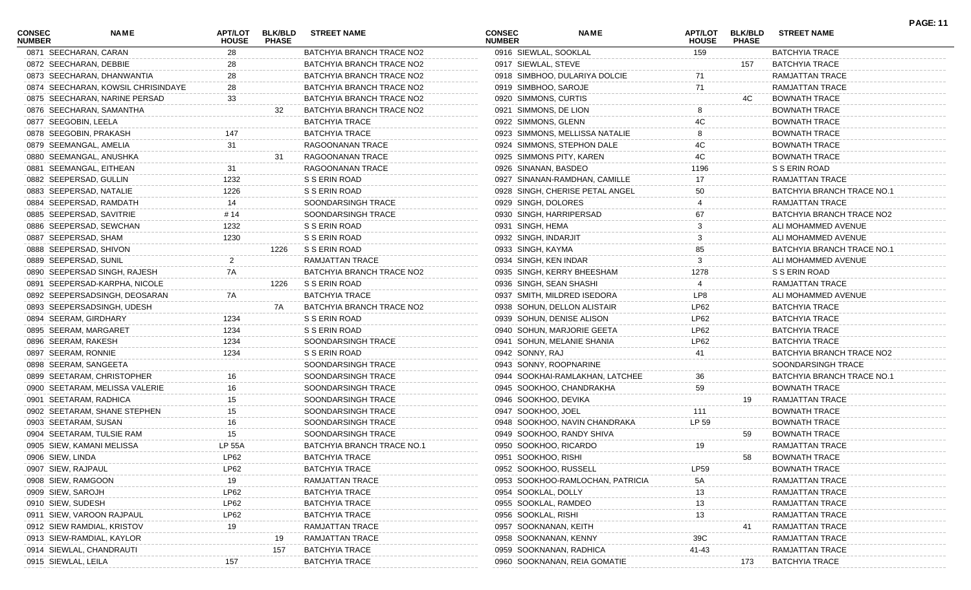| <b>CONSEC</b><br><b>NUMBER</b> | NAME                               | APT/LOT<br><b>HOUSE</b> | <b>BLK/BLD</b><br><b>PHASE</b> | <b>STREET NAME</b>         | <b>CONSEC</b><br><b>NUMBER</b> | NAME                             | APT/LOT<br><b>HOUSE</b> | <b>BLK/BLD</b><br><b>PHASE</b> | <b>STREET NAME</b>         | <b>PAGE: 11</b> |
|--------------------------------|------------------------------------|-------------------------|--------------------------------|----------------------------|--------------------------------|----------------------------------|-------------------------|--------------------------------|----------------------------|-----------------|
|                                | 0871 SEECHARAN, CARAN              | 28                      |                                | BATCHYIA BRANCH TRACE NO2  | 0916 SIEWLAL, SOOKLAL          |                                  | 159                     |                                | <b>BATCHYIA TRACE</b>      |                 |
|                                | 0872 SEECHARAN, DEBBIE             | 28                      |                                | BATCHYIA BRANCH TRACE NO2  | 0917 SIEWLAL, STEVE            |                                  |                         | 157                            | <b>BATCHYIA TRACE</b>      |                 |
|                                | 0873 SEECHARAN, DHANWANTIA         | 28                      |                                | BATCHYIA BRANCH TRACE NO2  |                                | 0918 SIMBHOO, DULARIYA DOLCIE    | 71                      |                                | RAMJATTAN TRACE            |                 |
|                                | 0874 SEECHARAN, KOWSIL CHRISINDAYE | 28                      |                                | BATCHYIA BRANCH TRACE NO2  | 0919 SIMBHOO, SAROJE           |                                  | 71                      |                                | RAMJATTAN TRACE            |                 |
|                                | 0875 SEECHARAN, NARINE PERSAD      | 33                      |                                | BATCHYIA BRANCH TRACE NO2  | 0920 SIMMONS, CURTIS           |                                  |                         | 4C.                            | <b>BOWNATH TRACE</b>       |                 |
|                                | 0876 SEECHARAN, SAMANTHA           |                         | 32                             | BATCHYIA BRANCH TRACE NO2  | 0921 SIMMONS, DE LION          |                                  |                         |                                | <b>BOWNATH TRACE</b>       |                 |
|                                | 0877 SEEGOBIN, LEELA               |                         |                                | <b>BATCHYIA TRACE</b>      | 0922 SIMMONS, GLENN            |                                  | 4C                      |                                | <b>BOWNATH TRACE</b>       |                 |
|                                | 0878 SEEGOBIN, PRAKASH             | 147                     |                                | <b>BATCHYIA TRACE</b>      |                                | 0923 SIMMONS, MELLISSA NATALIE   |                         |                                | <b>BOWNATH TRACE</b>       |                 |
|                                | 0879 SEEMANGAL, AMELIA             | 31                      |                                | RAGOONANAN TRACE           |                                | 0924 SIMMONS, STEPHON DALE       | 4C                      |                                | <b>BOWNATH TRACE</b>       |                 |
|                                | 0880 SEEMANGAL, ANUSHKA            |                         | 31                             | RAGOONANAN TRACE           | 0925 SIMMONS PITY, KAREN       |                                  | 4C                      |                                | BOWNATH TRACE              |                 |
|                                | 0881 SEEMANGAL, EITHEAN            | 31                      |                                | RAGOONANAN TRACE           | 0926 SINANAN, BASDEO           |                                  | 1196                    |                                | S S ERIN ROAD              |                 |
|                                | 0882 SEEPERSAD, GULLIN             | 1232                    |                                | S S ERIN ROAD              |                                | 0927 SINANAN-RAMDHAN, CAMILLE    | 17                      |                                | RAMJATTAN TRACE            |                 |
|                                | 0883 SEEPERSAD, NATALIE            | 1226                    |                                | S S ERIN ROAD              |                                | 0928 SINGH, CHERISE PETAL ANGEL  | 50                      |                                | BATCHYIA BRANCH TRACE NO.1 |                 |
|                                | 0884 SEEPERSAD, RAMDATH            | 14                      |                                | SOONDARSINGH TRACE         | 0929 SINGH, DOLORES            |                                  |                         |                                | RAMJATTAN TRACE            |                 |
|                                | 0885 SEEPERSAD, SAVITRIE           | # 14                    |                                | SOONDARSINGH TRACE         | 0930 SINGH, HARRIPERSAD        |                                  | 67                      |                                | BATCHYIA BRANCH TRACE NO2  |                 |
|                                | 0886 SEEPERSAD, SEWCHAN            | 1232                    |                                | S S ERIN ROAD              | 0931 SINGH, HEMA               |                                  |                         |                                | ALI MOHAMMED AVENUE        |                 |
|                                | 0887 SEEPERSAD, SHAM               | 1230                    |                                | S S ERIN ROAD              | 0932 SINGH, INDARJIT           |                                  |                         |                                | ALI MOHAMMED AVENUE        |                 |
|                                | 0888 SEEPERSAD, SHIVON             |                         | 1226                           | S S ERIN ROAD              | 0933 SINGH, KAYMA              |                                  | 85                      |                                | BATCHYIA BRANCH TRACE NO.1 |                 |
|                                | 0889 SEEPERSAD, SUNIL              |                         |                                | RAMJATTAN TRACE            | 0934 SINGH, KEN INDAR          |                                  |                         |                                | ALI MOHAMMED AVENUE        |                 |
|                                | 0890 SEEPERSAD SINGH, RAJESH       | 7A                      |                                | BATCHYIA BRANCH TRACE NO2  |                                | 0935 SINGH, KERRY BHEESHAM       | 1278                    |                                | S S ERIN ROAD              |                 |
|                                | 0891 SEEPERSAD-KARPHA, NICOLE      |                         | 1226                           | S S ERIN ROAD              | 0936 SINGH, SEAN SHASHI        |                                  |                         |                                | RAMJATTAN TRACE            |                 |
|                                | 0892 SEEPERSADSINGH, DEOSARAN      | 7A                      |                                | <b>BATCHYIA TRACE</b>      |                                | 0937 SMITH, MILDRED ISEDORA      | LP8                     |                                | ALI MOHAMMED AVENUE        |                 |
|                                | 0893 SEEPERSADSINGH, UDESH         |                         | 7A                             | BATCHYIA BRANCH TRACE NO2  |                                | 0938 SOHUN, DELLON ALISTAIR      | LP62                    |                                | <b>BATCHYIA TRACE</b>      |                 |
|                                | 0894 SEERAM, GIRDHARY              | 1234                    |                                | S S ERIN ROAD              | 0939 SOHUN, DENISE ALISON      |                                  | LP62                    |                                | <b>BATCHYIA TRACE</b>      |                 |
|                                | 0895 SEERAM, MARGARET              | 1234                    |                                | S S ERIN ROAD              |                                | 0940 SOHUN, MARJORIE GEETA       | LP62                    |                                | <b>BATCHYIA TRACE</b>      |                 |
|                                | 0896 SEERAM, RAKESH                | 1234                    |                                | SOONDARSINGH TRACE         |                                | 0941 SOHUN, MELANIE SHANIA       | LP62                    |                                | <b>BATCHYIA TRACE</b>      |                 |
|                                | 0897 SEERAM, RONNIE                | 1234                    |                                | S S ERIN ROAD              | 0942 SONNY, RAJ                |                                  | 41                      |                                | BATCHYIA BRANCH TRACE NO2  |                 |
|                                | 0898 SEERAM, SANGEETA              |                         |                                | SOONDARSINGH TRACE         | 0943 SONNY, ROOPNARINE         |                                  |                         |                                | SOONDARSINGH TRACE         |                 |
|                                | 0899 SEETARAM, CHRISTOPHER         | 16                      |                                | SOONDARSINGH TRACE         |                                | 0944 SOOKHAI-RAMLAKHAN, LATCHEE  | 36                      |                                | BATCHYIA BRANCH TRACE NO.1 |                 |
|                                | 0900 SEETARAM, MELISSA VALERIE     | 16                      |                                | SOONDARSINGH TRACE         |                                | 0945 SOOKHOO, CHANDRAKHA         | 59                      |                                | <b>BOWNATH TRACE</b>       |                 |
|                                | 0901 SEETARAM, RADHICA             | 15                      |                                | SOONDARSINGH TRACE         | 0946 SOOKHOO, DEVIKA           |                                  |                         | 19                             | RAMJATTAN TRACE            |                 |
|                                | 0902 SEETARAM, SHANE STEPHEN       | 15                      |                                | SOONDARSINGH TRACE         | 0947 SOOKHOO, JOEL             |                                  | 111                     |                                | <b>BOWNATH TRACE</b>       |                 |
|                                | 0903 SEETARAM, SUSAN               | 16                      |                                | SOONDARSINGH TRACE         |                                | 0948 SOOKHOO, NAVIN CHANDRAKA    | LP 59                   |                                | <b>BOWNATH TRACE</b>       |                 |
|                                | 0904 SEETARAM, TULSIE RAM          | 15                      |                                | SOONDARSINGH TRACE         |                                | 0949 SOOKHOO, RANDY SHIVA        |                         | 59                             | <b>BOWNATH TRACE</b>       |                 |
|                                | 0905 SIEW, KAMANI MELISSA          | LP 55A                  |                                | BATCHYIA BRANCH TRACE NO.1 | 0950 SOOKHOO, RICARDO          |                                  | 19                      |                                | <b>RAMJATTAN TRACE</b>     |                 |
| 0906 SIEW, LINDA               |                                    | LP62                    |                                | <b>BATCHYIA TRACE</b>      | 0951 SOOKHOO, RISHI            |                                  |                         | 58                             | <b>BOWNATH TRACE</b>       |                 |
|                                | 0907 SIEW, RAJPAUL                 | LP62                    |                                | <b>BATCHYIA TRACE</b>      | 0952 SOOKHOO, RUSSELL          |                                  | LP59                    |                                | <b>BOWNATH TRACE</b>       |                 |
|                                | 0908 SIEW, RAMGOON                 | 19                      |                                | RAMJATTAN TRACE            |                                | 0953 SOOKHOO-RAMLOCHAN, PATRICIA | 5A                      |                                | RAMJATTAN TRACE            |                 |
|                                | 0909 SIEW, SAROJH                  | LP62                    |                                | <b>BATCHYIA TRACE</b>      | 0954 SOOKLAL, DOLLY            |                                  | 13                      |                                | RAMJATTAN TRACE            |                 |
|                                | 0910 SIEW, SUDESH                  | LP62                    |                                | <b>BATCHYIA TRACE</b>      | 0955 SOOKLAL, RAMDEO           |                                  | 13                      |                                | RAMJATTAN TRACE            |                 |
|                                | 0911 SIEW, VAROON RAJPAUL          | LP62                    |                                | <b>BATCHYIA TRACE</b>      | 0956 SOOKLAL, RISHI            |                                  | 13                      |                                | RAMJATTAN TRACE            |                 |
|                                | 0912 SIEW RAMDIAL, KRISTOV         | 19                      |                                | RAMJATTAN TRACE            | 0957 SOOKNANAN, KEITH          |                                  |                         |                                | RAMJATTAN TRACE            |                 |
|                                |                                    |                         |                                | <b>RAMJATTAN TRACE</b>     |                                |                                  |                         | 41                             |                            |                 |
|                                | 0913 SIEW-RAMDIAL, KAYLOR          |                         | 19                             |                            | 0958 SOOKNANAN, KENNY          |                                  | 39C                     |                                | RAMJATTAN TRACE            |                 |
|                                | 0914 SIEWLAL, CHANDRAUTI           |                         | 157                            | <b>BATCHYIA TRACE</b>      | 0959 SOOKNANAN, RADHICA        |                                  | 41-43                   |                                | RAMJATTAN TRACE            |                 |
|                                | 0915 SIEWLAL, LEILA                | 157                     |                                | <b>BATCHYIA TRACE</b>      |                                | 0960 SOOKNANAN, REIA GOMATIE     |                         | 173                            | <b>BATCHYIA TRACE</b>      |                 |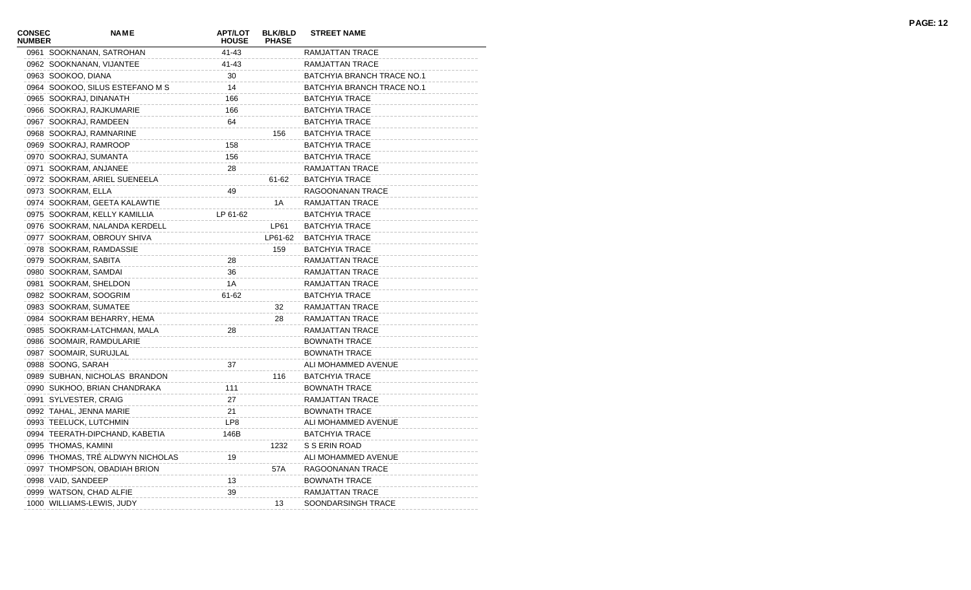| CONSEC<br><b>NUMBER</b> | <b>NAME</b>                      | <b>APT/LOT</b><br><b>HOUSE</b> | <b>BLK/BLD</b><br><b>PHASE</b> | <b>STREET NAME</b>         |
|-------------------------|----------------------------------|--------------------------------|--------------------------------|----------------------------|
|                         | 0961 SOOKNANAN, SATROHAN         | 41-43                          |                                | RAMJATTAN TRACE            |
|                         | 0962 SOOKNANAN, VIJANTEE         | 41-43                          |                                | RAMJATTAN TRACE            |
|                         | 0963 SOOKOO, DIANA               | 30                             |                                | BATCHYIA BRANCH TRACE NO.1 |
|                         | 0964 SOOKOO, SILUS ESTEFANO M S  | 14                             |                                | BATCHYIA BRANCH TRACE NO.1 |
|                         | 0965 SOOKRAJ, DINANATH           | 166                            |                                | <b>BATCHYIA TRACE</b>      |
|                         | 0966 SOOKRAJ, RAJKUMARIE         | 166                            |                                | <b>BATCHYIA TRACE</b>      |
|                         | 0967 SOOKRAJ, RAMDEEN            | 64                             |                                | <b>BATCHYIA TRACE</b>      |
|                         | 0968 SOOKRAJ, RAMNARINE          |                                | 156                            | <b>BATCHYIA TRACE</b>      |
|                         | 0969 SOOKRAJ, RAMROOP            | 158                            |                                | <b>BATCHYIA TRACE</b>      |
|                         | 0970 SOOKRAJ, SUMANTA            | 156                            |                                | <b>BATCHYIA TRACE</b>      |
|                         | 0971 SOOKRAM, ANJANEE            | 28                             |                                | RAMJATTAN TRACE            |
|                         | 0972 SOOKRAM, ARIEL SUENEELA     |                                | 61-62                          | <b>BATCHYIA TRACE</b>      |
|                         | 0973 SOOKRAM, ELLA               | 49                             |                                | RAGOONANAN TRACE           |
|                         | 0974 SOOKRAM, GEETA KALAWTIE     |                                | 1A                             | RAMJATTAN TRACE            |
|                         | 0975 SOOKRAM, KELLY KAMILLIA     | LP 61-62                       |                                | <b>BATCHYIA TRACE</b>      |
|                         | 0976 SOOKRAM, NALANDA KERDELL    |                                | LP61                           | <b>BATCHYIA TRACE</b>      |
|                         | 0977 SOOKRAM, OBROUY SHIVA       |                                | LP61-62                        | <b>BATCHYIA TRACE</b>      |
|                         | 0978 SOOKRAM, RAMDASSIE          |                                | 159                            | <b>BATCHYIA TRACE</b>      |
|                         | 0979 SOOKRAM, SABITA             | 28                             |                                | RAMJATTAN TRACE            |
|                         | 0980 SOOKRAM, SAMDAI             | 36                             |                                | RAMJATTAN TRACE            |
|                         | 0981 SOOKRAM, SHELDON            | 1A                             |                                | RAMJATTAN TRACE            |
|                         | 0982 SOOKRAM, SOOGRIM            | 61-62                          |                                | <b>BATCHYIA TRACE</b>      |
|                         | 0983 SOOKRAM, SUMATEE            |                                | 32                             | RAMJATTAN TRACE            |
|                         | 0984 SOOKRAM BEHARRY, HEMA       |                                | 28                             | RAMJATTAN TRACE            |
|                         | 0985 SOOKRAM-LATCHMAN, MALA      | 28                             |                                | RAMJATTAN TRACE            |
|                         | 0986 SOOMAIR, RAMDULARIE         |                                |                                | <b>BOWNATH TRACE</b>       |
|                         | 0987 SOOMAIR, SURUJLAL           |                                |                                | <b>BOWNATH TRACE</b>       |
|                         | 0988 SOONG, SARAH                | 37                             |                                | ALI MOHAMMED AVENUE        |
|                         | 0989 SUBHAN, NICHOLAS BRANDON    |                                | 116                            | <b>BATCHYIA TRACE</b>      |
|                         | 0990 SUKHOO, BRIAN CHANDRAKA     | 111                            |                                | <b>BOWNATH TRACE</b>       |
|                         | 0991 SYLVESTER, CRAIG            | 27                             |                                | RAMJATTAN TRACE            |
|                         | 0992 TAHAL, JENNA MARIE          | 21                             |                                | <b>BOWNATH TRACE</b>       |
|                         | 0993 TEELUCK, LUTCHMIN           | LP8                            |                                | ALI MOHAMMED AVENUE        |
|                         | 0994 TEERATH-DIPCHAND, KABETIA   | 146B                           |                                | <b>BATCHYIA TRACE</b>      |
|                         | 0995 THOMAS, KAMINI              |                                | 1232                           | S S ERIN ROAD              |
|                         | 0996 THOMAS, TRÉ ALDWYN NICHOLAS | 19                             |                                | ALI MOHAMMED AVENUE        |
|                         | 0997 THOMPSON, OBADIAH BRION     |                                | 57A                            | RAGOONANAN TRACE           |
|                         | 0998 VAID, SANDEEP               | 13                             |                                | <b>BOWNATH TRACE</b>       |
|                         | 0999 WATSON, CHAD ALFIE          | 39                             |                                | RAMJATTAN TRACE            |
|                         | 1000 WILLIAMS-LEWIS, JUDY        |                                | 13                             | SOONDARSINGH TRACE         |
|                         |                                  |                                |                                |                            |